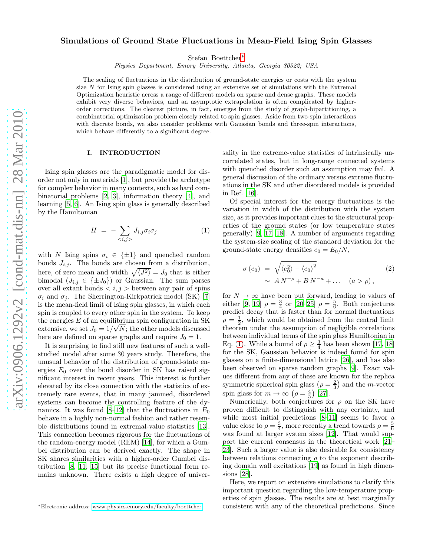# Simulations of Ground State Fluctuations in Mean-Field Ising Spin Glasses

Stefan Boettcher[∗](#page-0-0)

Physics Department, Emory University, Atlanta, Georgia 30322; USA

The scaling of fluctuations in the distribution of ground-state energies or costs with the system size  $N$  for Ising spin glasses is considered using an extensive set of simulations with the Extremal Optimization heuristic across a range of different models on sparse and dense graphs. These models exhibit very diverse behaviors, and an asymptotic extrapolation is often complicated by higherorder corrections. The clearest picture, in fact, emerges from the study of graph-bipartitioning, a combinatorial optimization problem closely related to spin glasses. Aside from two-spin interactions with discrete bonds, we also consider problems with Gaussian bonds and three-spin interactions, which behave differently to a significant degree.

### I. INTRODUCTION

Ising spin glasses are the paradigmatic model for disorder not only in materials [\[1\]](#page-18-0), but provide the archetype for complex behavior in many contexts, such as hard combinatorial problems [\[2,](#page-18-1) [3](#page-18-2)], information theory [\[4](#page-18-3)], and learning [\[5,](#page-18-4) [6\]](#page-18-5). An Ising spin glass is generally described by the Hamiltonian

<span id="page-0-1"></span>
$$
H = -\sum_{\langle i,j\rangle} J_{i,j} \sigma_i \sigma_j \tag{1}
$$

with N Ising spins  $\sigma_i \in \{\pm 1\}$  and quenched random bonds  $J_{i,j}$ . The bonds are chosen from a distribution, here, of zero mean and width  $\sqrt{\langle J^2 \rangle} = J_0$  that is either bimodal  $(J_{i,j} \in {\{\pm J_0\}})$  or Gaussian. The sum parses over all extant bonds  $\langle i, j \rangle$  between any pair of spins  $\sigma_i$  and  $\sigma_j$ . The Sherrington-Kirkpatrick model (SK) [\[7](#page-18-6)] is the mean-field limit of Ising spin glasses, in which each spin is coupled to every other spin in the system. To keep the energies  $E$  of an equilibrium spin configuration in SK extensive, we set  $J_0 = 1/\sqrt{N}$ ; the other models discussed here are defined on sparse graphs and require  $J_0 = 1$ .

It is surprising to find still new features of such a wellstudied model after some 30 years study. Therefore, the unusual behavior of the distribution of ground-state energies  $E_0$  over the bond disorder in SK has raised significant interest in recent years. This interest is further elevated by its close connection with the statistics of extremely rare events, that in many jammed, disordered systems can become the controlling feature of the dy-namics. It was found [\[8](#page-18-7)[–12](#page-18-8)] that the fluctuations in  $E_0$ behave in a highly non-normal fashion and rather resemble distributions found in extremal-value statistics [\[13\]](#page-18-9). This connection becomes rigorous for the fluctuations of the random-energy model (REM) [\[14\]](#page-18-10), for which a Gumbel distribution can be derived exactly. The shape in SK shares similarities with a higher-order Gumbel distribution [\[8](#page-18-7), [11](#page-18-11), [15](#page-18-12)] but its precise functional form remains unknown. There exists a high degree of universality in the extreme-value statistics of intrinsically uncorrelated states, but in long-range connected systems with quenched disorder such an assumption may fail. A general discussion of the ordinary versus extreme fluctuations in the SK and other disordered models is provided in Ref. [\[16](#page-18-13)].

Of special interest for the energy fluctuations is the variation in width of the distribution with the system size, as it provides important clues to the structural properties of the ground states (or low temperature states generally) [\[9](#page-18-14), [17](#page-18-15), [18\]](#page-18-16). A number of arguments regarding the system-size scaling of the standard deviation for the ground-state energy densities  $e_0 = E_0/N$ ,

<span id="page-0-2"></span>
$$
\sigma(e_0) = \sqrt{\langle e_0^2 \rangle - \langle e_0 \rangle^2} \tag{2}
$$
\n
$$
\sim A N^{-\rho} + B N^{-a} + \dots \quad (a > \rho),
$$

for  $N \to \infty$  have been put forward, leading to values of either [\[9,](#page-18-14) [19\]](#page-18-17)  $\rho = \frac{3}{4}$  or [\[20](#page-18-18)[–25](#page-18-19)]  $\rho = \frac{5}{6}$ . Both conjectures predict decay that is faster than for normal fluctuations  $\rho = \frac{1}{2}$ , which would be obtained from the central limit theorem under the assumption of negligible correlations between individual terms of the spin glass Hamiltonian in Eq. [\(1\)](#page-0-1). While a bound of  $\rho \geq \frac{3}{4}$  has been shown [\[17,](#page-18-15) [18](#page-18-16)] for the SK, Gaussian behavior is indeed found for spin glasses on a finite-dimensional lattice [\[26\]](#page-18-20), and has also been observed on sparse random graphs [\[9](#page-18-14)]. Exact values different from any of these are known for the replica symmetric spherical spin glass  $(\rho = \frac{2}{3})$  and the *m*-vector spin glass for  $m \to \infty$   $(\rho = \frac{4}{5})$  [\[27\]](#page-18-21).

Numerically, both conjectures for  $\rho$  on the SK have proven difficult to distinguish with any certainty, and while most initial predictions [\[8](#page-18-7)[–11\]](#page-18-11) seems to favor a value close to  $\rho = \frac{3}{4}$ , more recently a trend towards  $\rho = \frac{5}{6}$ was found at larger system sizes [\[12\]](#page-18-8). That would support the current consensus in the theoretical work [\[21](#page-18-22)– [23](#page-18-23)]. Such a larger value is also desirable for consistency between relations connecting  $\rho$  to the exponent describing domain wall excitations [\[19\]](#page-18-17) as found in high dimensions [\[28](#page-18-24)].

Here, we report on extensive simulations to clarify this important question regarding the low-temperature properties of spin glasses. The results are at best marginally consistent with any of the theoretical predictions. Since

<span id="page-0-0"></span><sup>∗</sup>Electronic address: [www.physics.emory.edu/faculty/boettcher](mailto:www.physics.emory.edu/faculty/boettcher)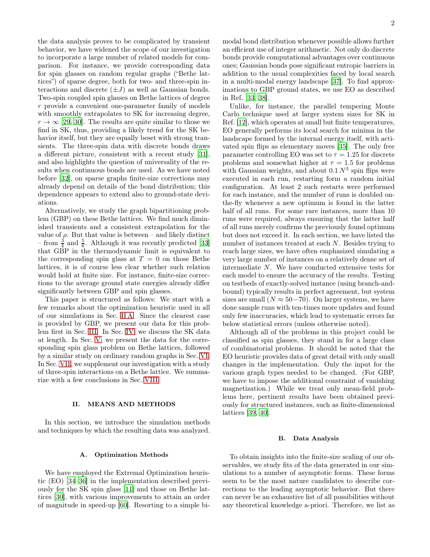the data analysis proves to be complicated by transient behavior, we have widened the scope of our investigation to incorporate a large number of related models for comparison. For instance, we provide corresponding data for spin glasses on random regular graphs ("Bethe lattices") of sparse degree, both for two- and three-spin interactions and discrete  $(\pm J)$  as well as Gaussian bonds. Two-spin coupled spin glasses on Bethe lattices of degree r provide a convenient one-parameter family of models with smoothly extrapolates to SK for increasing degree,  $r \to \infty$  [\[29,](#page-18-25) [30\]](#page-18-26). The results are quite similar to those we find in SK, thus, providing a likely trend for the SK behavior itself, but they are equally beset with strong transients. The three-spin data with discrete bonds draws a different picture, consistent with a recent study [\[31\]](#page-18-27), and also highlights the question of universality of the results when continuous bonds are used. As we have noted before [\[32](#page-18-28)], on sparse graphs finite-size corrections may already depend on details of the bond distribution; this dependence appears to extend also to ground-state deviations.

Alternatively, we study the graph bipartitioning problem (GBP) on these Bethe lattices. We find much diminished transients and a consistent extrapolation for the value of  $\rho$ . But that value is between – and likely distinct – from  $\frac{3}{4}$  and  $\frac{5}{6}$ . Although it was recently predicted [\[33](#page-18-29)] that GBP in the thermodynamic limit is equivalent to the corresponding spin glass at  $T = 0$  on those Bethe lattices, it is of course less clear whether such relation would hold at finite size. For instance, finite-size corrections to the average ground state energies already differ significantly between GBP and spin glasses.

This paper is structured as follows: We start with a few remarks about the optimization heuristic used in all of our simulations in Sec. [II A.](#page-1-0) Since the clearest case is provided by GBP, we present our data for this problem first in Sec. [III.](#page-2-0) In Sec. [IV,](#page-6-0) we discuss the SK data at length. In Sec. [V,](#page-10-0) we present the data for the corresponding spin glass problem on Bethe lattices, followed by a similar study on ordinary random graphs in Sec. [VI.](#page-12-0) In Sec. [VII,](#page-13-0) we supplement our investigation with a study of three-spin interactions on a Bethe lattice. We summarize with a few conclusions in Sec. [VIII.](#page-17-0)

### II. MEANS AND METHODS

In this section, we introduce the simulation methods and techniques by which the resulting data was analyzed.

### <span id="page-1-0"></span>A. Optimization Methods

We have employed the Extremal Optimization heuristic (EO) [\[34](#page-18-30)[–36](#page-18-31)] in the implementation described previously for the SK spin glass [\[11\]](#page-18-11) and those on Bethe lattices [\[30\]](#page-18-26), with various improvements to attain an order of magnitude in speed-up [\[60\]](#page-19-0). Resorting to a simple bimodal bond distribution whenever possible allows further an efficient use of integer arithmetic. Not only do discrete bonds provide computational advantages over continuous ones; Gaussian bonds pose significant entropic barriers in addition to the usual complexities faced by local search in a multi-modal energy landscape [\[37\]](#page-18-32). To find approximations to GBP ground states, we use EO as described in Ref. [\[33](#page-18-29), [38](#page-18-33)].

Unlike, for instance, the parallel tempering Monte Carlo technique used at larger system sizes for SK in Ref. [\[12\]](#page-18-8), which operates at small but finite temperatures, EO generally performs its local search for minima in the landscape formed by the internal energy itself, with activated spin flips as elementary moves [\[35\]](#page-18-34). The only free parameter controlling EO was set to  $\tau = 1.25$  for discrete problems and somewhat higher at  $\tau = 1.5$  for problems with Gaussian weights, and about  $0.1 N<sup>3</sup>$  spin flips were executed in each run, restarting form a random initial configuration. At least 2 such restarts were performed for each instance, and the number of runs is doubled onthe-fly whenever a new optimum is found in the latter half of all runs. For some rare instances, more than 10 runs were required, always ensuring that the latter half of all runs merely confirms the previously found optimum but does not exceed it. In each section, we have listed the number of instances treated at each N. Besides trying to reach large sizes, we have often emphasized simulating a very large number of instances on a relatively dense set of intermediate N. We have conducted extensive tests for each model to ensure the accuracy of the results. Testing on testbeds of exactly-solved instance (using branch-andbound) typically results in perfect agreement, but system sizes are small  $(N \approx 50-70)$ . On larger systems, we have done sample runs with ten-times more updates and found only few inaccuracies, which lead to systematic errors far below statistical errors (unless otherwise noted).

Although all of the problems in this project could be classified as spin glasses, they stand in for a large class of combinatorial problems. It should be noted that the EO heuristic provides data of great detail with only small changes in the implementation. Only the input for the various graph types needed to be changed. (For GBP, we have to impose the additional constraint of vanishing magnetization.) While we treat only mean-field problems here, pertinent results have been obtained previously for structured instances, such as finite-dimensional lattices [\[39](#page-18-35), [40](#page-18-36)].

#### <span id="page-1-1"></span>B. Data Analysis

To obtain insights into the finite-size scaling of our observables, we study fits of the data generated in our simulations to a number of asymptotic forms. These forms seem to be the most nature candidates to describe corrections to the leading asymptotic behavior. But there can never be an exhaustive list of all possibilities without any theoretical knowledge a-priori. Therefore, we list as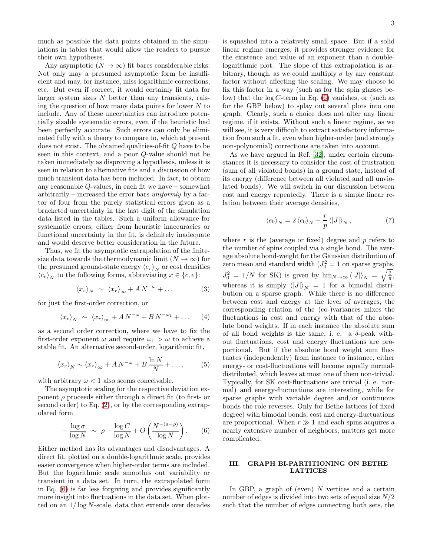much as possible the data points obtained in the simulations in tables that would allow the readers to pursue their own hypotheses.

Any asymptotic  $(N \to \infty)$  fit bares considerable risks: Not only may a presumed asymptotic form be insufficient and may, for instance, miss logarithmic corrections, etc. But even if correct, it would certainly fit data for larger system sizes  $N$  better than any transients, raising the question of how many data points for lower  $N$  to include. Any of these uncertainties can introduce potentially sizable systematic errors, even if the heuristic had been perfectly accurate. Such errors can only be eliminated fully with a theory to compare to, which at present does not exist. The obtained qualities-of-fit Q have to be seen in this context, and a poor Q-value should not be taken immediately as disproving a hypothesis, unless it is seen in relation to alternative fits and a discussion of how much transient data has been included. In fact, to obtain any reasonable Q-values, in each fit we have – somewhat arbitrarily – increased the error bars *uniformly* by a factor of four from the purely statistical errors given as a bracketed uncertainty in the last digit of the simulation data listed in the tables. Such a uniform allowance for systematic errors, either from heuristic inaccuracies or functional uncertainty in the fit, is definitely inadequate and would deserve better consideration in the future.

Thus, we fit the asymptotic extrapolation of the finitesize data towards the thermodynamic limit  $(N \to \infty)$  for the presumed ground-state energy  $\langle e_r \rangle_N$  or cost densities  $\langle c_r \rangle_N$  to the following forms, abbreviating  $x \in \{c, e\}$ :

<span id="page-2-2"></span>
$$
\langle x_r \rangle_N \sim \langle x_r \rangle_\infty + A N^{-\omega} + \dots \tag{3}
$$

for just the first-order correction, or

<span id="page-2-4"></span>
$$
\langle x_r \rangle_N \sim \langle x_r \rangle_\infty + A N^{-\omega} + B N^{-\omega_1} + \dots \quad (4)
$$

as a second order correction, where we have to fix the first-order exponent  $\omega$  and require  $\omega_1 > \omega$  to achieve a stable fit. An alternative second-order, logarithmic fit,

<span id="page-2-3"></span>
$$
\langle x_r \rangle_N \sim \langle x_r \rangle_\infty + A N^{-\omega} + B \frac{\ln N}{N} + \dots,\tag{5}
$$

with arbitrary  $\omega < 1$  also seems conceivable.

The asymptotic scaling for the respective deviation exponent  $\rho$  proceeds either through a direct fit (to first- or second order) to Eq. [\(2\)](#page-0-2), or by the corresponding extrapolated form

<span id="page-2-1"></span>
$$
-\frac{\log \sigma}{\log N} \sim \rho - \frac{\log C}{\log N} + O\left(\frac{N^{-(a-\rho)}}{\log N}\right). \tag{6}
$$

Either method has its advantages and disadvantages. A direct fit, plotted on a double-logarithmic scale, provides easier convergence when higher-order terms are included. But the logarithmic scale smoothes out variability or transient in a data set. In turn, the extrapolated form in Eq. [\(6\)](#page-2-1) is far less forgiving and provides significantly more insight into fluctuations in the data set. When plotted on an  $1/\log N$ -scale, data that extends over decades

is squashed into a relatively small space. But if a solid linear regime emerges, it provides stronger evidence for the existence and value of an exponent than a doublelogarithmic plot. The slope of this extrapolation is arbitrary, though, as we could multiply  $\sigma$  by any constant factor without affecting the scaling. We may choose to fix this factor in a way (such as for the spin glasses below) that the  $log C$ -term in Eq. [\(6\)](#page-2-1) vanishes, or (such as for the GBP below) to splay out several plots into one graph. Clearly, such a choice does not alter any linear regime, if it exists. Without such a linear regime, as we will see, it is very difficult to extract satisfactory information from such a fit, even when higher-order (and strongly non-polynomial) corrections are taken into account.

As we have argued in Ref. [\[32\]](#page-18-28), under certain circumstances it is necessary to consider the cost of frustration (sum of all violated bonds) in a ground state, instead of its energy (difference between all violated and all unviolated bonds). We will switch in our discussion between cost and energy repeatedly. There is a simple linear relation between their average densities,

<span id="page-2-5"></span>
$$
\langle e_0 \rangle_N = 2 \langle c_0 \rangle_N - \frac{r}{p} \langle |J| \rangle_N , \qquad (7)
$$

where  $r$  is the (average or fixed) degree and  $p$  refers to the number of spins coupled via a single bond. The average absolute bond-weight for the Gaussian distribution of zero mean and standard width  $(J_0^2 = 1$  on sparse graphs,  $J_0^2 = 1/N$  for SK) is given by  $\lim_{N \to \infty} {\langle |J| \rangle_N} = \sqrt{\frac{2}{\pi}}$ , whereas it is simply  $\langle |J|\rangle_N = 1$  for a bimodal distribution on a sparse graph. While there is no difference between cost and energy at the level of averages, the corresponding relation of the (co-)variances mixes the fluctuations in cost and energy with that of the absolute bond weights. If in each instance the absolute sum of all bond weights is the same, i. e. a  $\delta$ -peak without fluctuations, cost and energy fluctuations are proportional. But if the absolute bond weight sum fluctuates (independently) from instance to instance, either energy- or cost-fluctuations will become equally normaldistributed, which leaves at most one of them non-trivial. Typically, for SK cost-fluctuations are trivial (i. e. normal) and energy-fluctuations are interesting, while for sparse graphs with variable degree and/or continuous bonds the role reverses. Only for Bethe lattices (of fixed degree) with bimodal bonds, cost and energy-fluctuations are proportional. When  $r \gg 1$  and each spins acquires a nearly extensive number of neighbors, matters get more complicated.

# <span id="page-2-0"></span>III. GRAPH BI-PARTITIONING ON BETHE LATTICES

In GBP, a graph of (even)  $N$  vertices and a certain number of edges is divided into two sets of equal size  $N/2$ such that the number of edges connecting both sets, the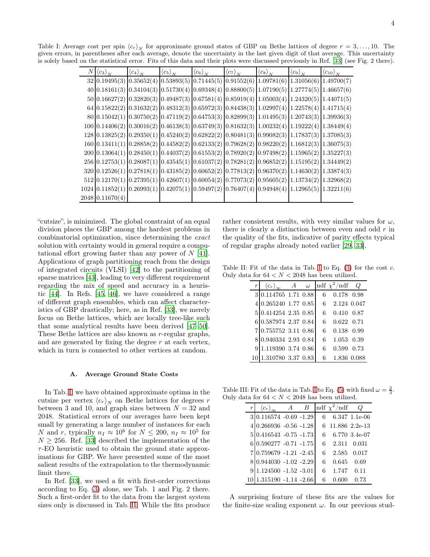Table I: Average cost per spin  $\langle c_r \rangle_N$  for approximate ground states of GBP on Bethe lattices of degree  $r = 3, \ldots, 10$ . The given errors, in parentheses after each average, denote the uncertainty in the last given digit of that average. This uncertainty is solely based on the statistical error. Fits of this data and their plots were discussed previously in Ref. [\[33\]](#page-18-29) (see Fig. 2 there).

<span id="page-3-0"></span>

| $_{N}$ | $\langle c_3 \rangle_N$ | $\langle c_4 \rangle_N$ | $\langle c_5 \rangle_N$ | $\langle c_6\rangle_N$ | $\langle c_7\rangle_N$ | $\langle c_8\rangle_N$                                                                                                                                                                                                                              | $\langle c_9\rangle_N$ | $\left\langle c_{10}\right\rangle_N$ |
|--------|-------------------------|-------------------------|-------------------------|------------------------|------------------------|-----------------------------------------------------------------------------------------------------------------------------------------------------------------------------------------------------------------------------------------------------|------------------------|--------------------------------------|
|        |                         |                         |                         |                        |                        | $32 0.19495(3) 0.35652(4) 0.53893(5) 0.71445(5) 0.91552(6) 1.09781(6) 1.31056(6)$                                                                                                                                                                   |                        | 1.49700(7)                           |
|        |                         |                         |                         |                        |                        | $40 0.18161(3) 0.34104(3) 0.51730(4) 0.69348(4) 0.88800(5) 1.07190(5) 1.27774(5)$                                                                                                                                                                   |                        | 1.46657(6)                           |
|        |                         |                         |                         |                        |                        | $50 0.16627(2) 0.32820(3) 0.49487(3) 0.67581(4) 0.85919(4) 1.05003(4) 1.24320(5)$                                                                                                                                                                   |                        | 1.44071(5)                           |
|        |                         |                         |                         |                        |                        | $64 0.15822(2) 0.31632(2) 0.48312(3) 0.65972(3) 0.84438(3) 1.02997(4) 1.22578(4) 1.41715(4)$                                                                                                                                                        |                        |                                      |
|        |                         |                         |                         |                        |                        | $80 0.15042(1) 0.30750(2) 0.47119(2) 0.64753(3) 0.82899(3) 1.01495(3) 1.20743(3) 1.39936(3)$                                                                                                                                                        |                        |                                      |
|        |                         |                         |                         |                        |                        | $100 0.14406(2) 0.30016(2) 0.46138(3) 0.63749(3) 0.81632(3) 1.00232(4) 1.19222(4) 1.38449(4)$                                                                                                                                                       |                        |                                      |
|        |                         |                         |                         |                        |                        | $128 0.13825(2) 0.29350(1) 0.45240(2) 0.62822(2) 0.80481(3) 0.99082(3) 1.17837(3) 1.37085(3) 0.99082(3) 1.37085(3) 0.99082(3) 1.37085(3) 0.99082(3) 1.37085(3) 0.99082(3) 1.37085(3) 0.99082(3) 1.37085(3) 0.99082(3) 1.37085(3) 0.99082(3) 1.3708$ |                        |                                      |
|        |                         |                         |                         |                        |                        | $160 0.13411(1) 0.28858(2) 0.44582(2) 0.62133(2) 0.79628(2) 0.98220(2) 1.16812(3) 1.36075(3) 0.98220(4) 0.98220(5) 0.98220(6) 0.98220(7) 0.98320(8) 0.98320(9) 0.98320(9) 0.98320(9) 0.98320(9) 0.98320(9) 0.98320(9) 0.98320(9) 0.98320(9) 0.9832$ |                        |                                      |
|        |                         |                         |                         |                        |                        | $200 0.13064(1) 0.28450(1) 0.44037(2) 0.61553(2) 0.78920(2) 0.97498(2) 1.15965(2)$                                                                                                                                                                  |                        | 1.35227(3)                           |
|        |                         |                         |                         |                        |                        | 256 0.12753(1) 0.28087(1) 0.43545(1) 0.61037(2) 0.78281(2) 0.96852(2) 1.15195(2) 1.34449(2)                                                                                                                                                         |                        |                                      |
|        |                         |                         |                         |                        |                        | $320 0.12526(1) 0.27818(1) 0.43185(2) 0.60652(2) 0.77813(2) 0.96370(2) 1.14630(2)$                                                                                                                                                                  |                        | 1.33874(3)                           |
|        |                         |                         |                         |                        |                        | $512 \mid 0.12170(1) \mid 0.27395(1) \mid 0.42607(1) \mid 0.60054(2) \mid 0.77073(2) \mid 0.95605(2) \mid 1.13734(2) \mid 1.32968(2)$                                                                                                               |                        |                                      |
|        |                         |                         |                         |                        |                        | $1024 0.11852(1) 0.26993(1) 0.42075(1) 0.59497(2) 0.76407(4) 0.94948(4) 1.12965(5) 1.32211(6)$                                                                                                                                                      |                        |                                      |
|        | 2048 0.11670(4)         |                         |                         |                        |                        |                                                                                                                                                                                                                                                     |                        |                                      |

"cutsize", is minimized. The global constraint of an equal division places the GBP among the hardest problems in combinatorial optimization, since determining the exact solution with certainty would in general require a computational effort growing faster than any power of N [\[41\]](#page-18-37). Applications of graph partitioning reach from the design of integrated circuits (VLSI) [\[42\]](#page-18-38) to the partitioning of sparse matrices [\[43\]](#page-18-39), leading to very different requirement regarding the mix of speed and accuracy in a heuristic [\[44](#page-18-40)]. In Refs. [\[45](#page-18-41), [46\]](#page-18-42), we have considered a range of different graph ensembles, which can affect characteristics of GBP drastically; here, as in Ref. [\[33\]](#page-18-29), we merely focus on Bethe lattices, which are locally tree-like such that some analytical results have been derived [\[47](#page-19-1)[–50\]](#page-19-2). These Bethe lattices are also known as r-regular graphs, and are generated by fixing the degree  $r$  at each vertex, which in turn is connected to other vertices at random.

#### <span id="page-3-3"></span>A. Average Ground State Costs

In Tab. [I,](#page-3-0) we have obtained approximate optima in the cutsize per vertex  $\langle c_r \rangle_N$  on Bethe lattices for degrees r between 3 and 10, and graph sizes between  $N = 32$  and 2048. Statistical errors of our averages have been kept small by generating a large number of instances for each N and r, typically  $n_I \approx 10^6$  for  $N \leq 200$ ,  $n_I \approx 10^5$  for  $N \geq 256$ . Ref. [\[33](#page-18-29)] described the implementation of the τ-EO heuristic used to obtain the ground state approximations for GBP. We have presented some of the most salient results of the extrapolation to the thermodynamic limit there.

In Ref. [\[33](#page-18-29)], we used a fit with first-order corrections according to Eq. [\(3\)](#page-2-2) alone, see Tab. 1 and Fig. 2 there. Such a first-order fit to the data from the largest system sizes only is discussed in Tab. [II.](#page-3-1) While the fits produce rather consistent results, with very similar values for  $\omega$ , there is clearly a distinction between even and odd  $r$  in the quality of the fits, indicative of parity effects typical of regular graphs already noted earlier [\[29,](#page-18-25) [33\]](#page-18-29).

Table [I](#page-3-0)I: Fit of the data in Tab. I to Eq.  $(3)$  for the cost c. Only data for  $64 < {\cal N} < 2048$  has been utilized.

<span id="page-3-1"></span>

| $\,r\,$ | $\langle c_r \rangle_{\infty}$ A $\omega$ |  |    | ndf $\chi^2$ /ndf Q |      |
|---------|-------------------------------------------|--|----|---------------------|------|
|         | 3 0.114765 1.71 0.88                      |  | 6  | 0.178 0.98          |      |
|         | 4 0.265240 1.77 0.85                      |  |    | 6 2.124 0.047       |      |
|         | 5 0.414254 2.35 0.85                      |  | 6  | 0.410 0.87          |      |
|         | 6 0.587974 2.37 0.84                      |  | 6  | $0.622$ $0.71$      |      |
|         | 7 0.755752 3.11 0.86                      |  |    | 6 0.138 0.99        |      |
|         | 8 0.940334 2.93 0.84                      |  | 6  | 1.053 0.39          |      |
|         | 91.119390 3.74 0.86                       |  | 6  | 0.599               | 0.73 |
|         | 1.310780 3.37 0.83                        |  | 6. | 1.836 0.088         |      |

Table [I](#page-3-0)II: Fit of the data in Tab. I to Eq. [\(5\)](#page-2-3) with fixed  $\omega = \frac{2}{3}$ . Only data for  $64 < N < 2048$  has been utilized.

<span id="page-3-2"></span>

|   | $\langle c_r \rangle$       | A | $\overline{B}$ | ndf $\chi^2$ /ndf | Q             |
|---|-----------------------------|---|----------------|-------------------|---------------|
|   | $3 0.116574 - 0.69 - 1.29 $ |   |                |                   | 6.347 1.1e-06 |
|   | $4 0.266936 - 0.56 - 1.28 $ |   |                | 6 11.886 2.2e-13  |               |
|   | $5 0.416543 - 0.75 - 1.73 $ |   |                |                   | 6.770 3.4e-07 |
|   | $6 0.590277 - 0.71 - 1.75 $ |   |                |                   | 2.311 0.031   |
|   | 7 0.759679 - 1.21 - 2.45    |   |                | 2.585             | 0.017         |
|   | 8 0.944030 -1.02 -2.29      |   |                | 0.645             | 0.69          |
| 9 | $1.124500 - 1.52 - 3.01$    |   |                | 1.747             | 0.11          |
|   | 1.315190 -1.14 -2.66        |   |                |                   | በ 73          |

A surprising feature of these fits are the values for the finite-size scaling exponent  $\omega$ . In our previous stud-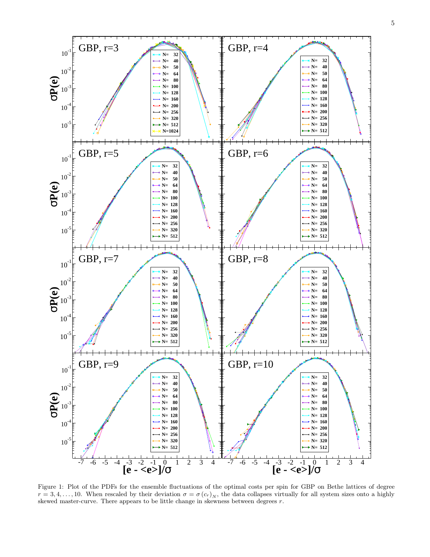

<span id="page-4-0"></span>Figure 1: Plot of the PDFs for the ensemble fluctuations of the optimal costs per spin for GBP on Bethe lattices of degree  $r = 3, 4, \ldots, 10$ . When rescaled by their deviation  $\sigma = \sigma(c_r)_N$ , the data collapses virtually for all system sizes onto a highly skewed master-curve. There appears to be little change in skewness between degrees  $r$ .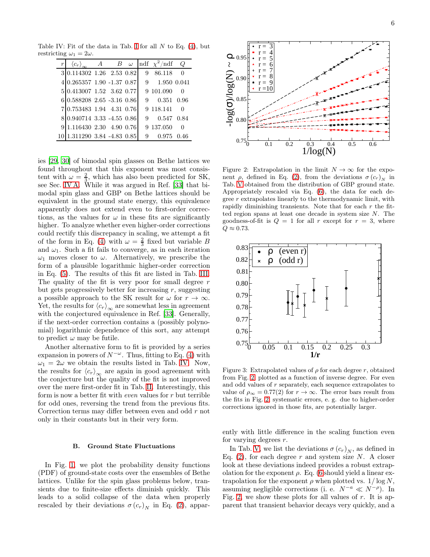Table [I](#page-3-0)V: Fit of the data in Tab. I for all  $N$  to Eq. [\(4\)](#page-2-4), but restricting  $\omega_1 = 2\omega$ .

<span id="page-5-0"></span>

| $\langle c_r \rangle$      | $A$ $B$ $\omega$ |   | ndf $\chi^2$ /ndf | $\omega$     |
|----------------------------|------------------|---|-------------------|--------------|
| 3 0.114302 1.26 2.53 0.82  |                  | 9 | 86.118            | 0            |
| 4 0.265357 1.90 -1.37 0.87 |                  |   | 9 1.950 0.041     |              |
| 5 0.413007 1.52 3.62 0.77  |                  |   | 9 101.090         | $\mathbf{0}$ |
| 6 0.588208 2.65 -3.16 0.86 |                  |   | 9 0.351 0.96      |              |
| 7 0.753483 1.94 4.31 0.76  |                  |   | 9 118.141 0       |              |
| $0.940714$ 3.33 -4.55 0.86 |                  |   | 9 0.547 0.84      |              |
| 1.116430 2.30 4.90 0.76    |                  |   | 9 137.050         | ∩            |
| 1.311290 3.84 -4.83 0.85   |                  | 9 |                   |              |

ies [\[29,](#page-18-25) [30](#page-18-26)] of bimodal spin glasses on Bethe lattices we found throughout that this exponent was most consistent with  $\omega = \frac{2}{3}$ , which has also been predicted for SK, see Sec. [IV A.](#page-6-1) While it was argued in Ref.  $[33]$  that bimodal spin glass and GBP on Bethe lattices should be equivalent in the ground state energy, this equivalence apparently does not extend even to first-order corrections, as the values for  $\omega$  in these fits are significantly higher. To analyze whether even higher-order corrections could rectify this discrepancy in scaling, we attempt a fit of the form in Eq. [\(4\)](#page-2-4) with  $\omega = \frac{2}{3}$  fixed but variable B and  $\omega_1$ . Such a fit fails to converge, as in each iteration  $\omega_1$  moves closer to  $\omega$ . Alternatively, we prescribe the form of a plausible logarithmic higher-order correction in Eq. [\(5\)](#page-2-3). The results of this fit are listed in Tab. [III.](#page-3-2) The quality of the fit is very poor for small degree  $r$ but gets progressively better for increasing  $r$ , suggesting a possible approach to the SK result for  $\omega$  for  $r \to \infty$ . Yet, the results for  $\langle c_r \rangle_{\infty}$  are somewhat less in agreement with the conjectured equivalence in Ref. [\[33](#page-18-29)]. Generally, if the next-order correction contains a (possibly polynomial) logarithmic dependence of this sort, any attempt to predict  $\omega$  may be futile.

Another alternative form to fit is provided by a series expansion in powers of  $N^{-\omega}$ . Thus, fitting to Eq. [\(4\)](#page-2-4) with  $\omega_1 = 2\omega$  we obtain the results listed in Tab. [IV.](#page-5-0) Now, the results for  $\langle c_r \rangle_{\infty}$  are again in good agreement with the conjecture but the quality of the fit is not improved over the mere first-order fit in Tab. [II.](#page-3-1) Interestingly, this form is now a better fit with even values for r but terrible for odd ones, reversing the trend from the previous fits. Correction terms may differ between even and odd r not only in their constants but in their very form.

## B. Ground State Fluctuations

In Fig. [1,](#page-4-0) we plot the probability density functions (PDF) of ground-state costs over the ensembles of Bethe lattices. Unlike for the spin glass problems below, transients due to finite-size effects diminish quickly. This leads to a solid collapse of the data when properly rescaled by their deviations  $\sigma(c_r)_N$  in Eq. [\(2\)](#page-0-2), appar-



<span id="page-5-1"></span>Figure 2: Extrapolation in the limit  $N \to \infty$  for the exponent  $\rho$ , defined in Eq. [\(2\)](#page-0-2), from the deviations  $\sigma(c_r)_N$  in Tab. [V](#page-6-2) obtained from the distribution of GBP ground state. Appropriately rescaled via Eq. [\(6\)](#page-2-1), the data for each degree  $r$  extrapolates linearly to the thermodynamic limit, with rapidly diminishing transients. Note that for each  $r$  the fitted region spans at least one decade in system size N. The goodness-of-fit is  $Q = 1$  for all r except for  $r = 3$ , where  $Q \approx 0.73$ .



Figure 3: Extrapolated values of  $\rho$  for each degree r, obtained from Fig. [2,](#page-5-1) plotted as a function of inverse degree. For even and odd values of r separately, each sequence extrapolates to value of  $\rho_{\infty} = 0.77(2)$  for  $r \to \infty$ . The error bars result from the fits in Fig. [2;](#page-5-1) systematic errors, e. g. due to higher-order corrections ignored in those fits, are potentially larger.

ently with little difference in the scaling function even for varying degrees r.

In Tab. [V,](#page-6-2) we list the deviations  $\sigma(c_r)_N$ , as defined in Eq. [\(2\)](#page-0-2), for each degree  $r$  and system size  $N$ . A closer look at these deviations indeed provides a robust extrapolation for the exponent  $\rho$ . Eq. [\(6](#page-2-1) should yield a linear extrapolation for the exponent  $\rho$  when plotted vs.  $1/\log N$ , assuming negligible corrections (i. e.  $N^{-a} \ll N^{-\rho}$ ). In Fig. [2,](#page-5-1) we show these plots for all values of  $r$ . It is apparent that transient behavior decays very quickly, and a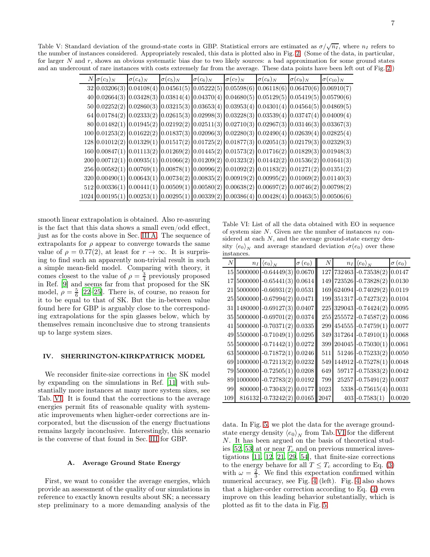<span id="page-6-2"></span>Table V: Standard deviation of the ground-state costs in GBP. Statistical errors are estimated as  $\sigma/\sqrt{n_I}$ , where  $n_I$  refers to the number of instances considered. Appropriately rescaled, this data is plotted also in Fig. [2.](#page-5-1) (Some of the data, in particular, for larger  $N$  and  $r$ , shows an obvious systematic bias due to two likely sources: a bad approximation for some ground states and an undercount of rare instances with costs extremely far from the average. These data points have been left out of Fig. [2.](#page-5-1))

| $N \sigma(c_3)_N$ | $\sigma(c_4)_N$ | $\sigma(c_5)_N$ | $\sigma(c_6)_N$                                                                                       | $\sigma(c_7)_N$ | $\sigma(c_8)_N$ | $\sigma(c_9)_N$ | $\sigma(c_{10})_N$ |
|-------------------|-----------------|-----------------|-------------------------------------------------------------------------------------------------------|-----------------|-----------------|-----------------|--------------------|
|                   |                 |                 | $32 0.03206(3) 0.04108(4) 0.04561(5) 0.05222(5) 0.05598(6) 0.06118(6) 0.06470(6) 0.06910(7)$          |                 |                 |                 |                    |
|                   |                 |                 | $40[0.02664(3) [0.03428(3) [0.03814(4) [0.04370(4) [0.04680(5) [0.05129(5) [0.05419(5) [0.05790(6)$   |                 |                 |                 |                    |
|                   |                 |                 | $50[0.02252(2)]0.02860(3)[0.03215(3)]0.03653(4)[0.03953(4)]0.04301(4)[0.04564(5)]0.04869(5)$          |                 |                 |                 |                    |
|                   |                 |                 | $64[0.01784(2)[0.02333(2)]0.02615(3)[0.02998(3)[0.03228(3)]0.03539(4)]0.03747(4)[0.04009(4)]$         |                 |                 |                 |                    |
|                   |                 |                 | $80 0.01482(1) 0.01945(2) 0.02192(2) 0.02511(3) 0.02710(3) 0.02967(3) 0.03146(3) 0.03367(3)$          |                 |                 |                 |                    |
|                   |                 |                 | $100[0.01253(2) 0.01622(2) 0.01837(3) 0.02096(3) 0.02280(3) 0.02490(4) 0.02639(4) 0.02825(4)$         |                 |                 |                 |                    |
|                   |                 |                 | $128  0.01012(2)  0.01329(1)  0.01517(2)  0.01725(2)  0.01877(3)  0.02051(3)  0.02179(3)  0.02329(3)$ |                 |                 |                 |                    |
|                   |                 |                 | $160[0.00847(1)[0.01113(2)]0.01269(2)[0.01445(2)]0.01573(2)[0.01716(2)]0.01829(3)[0.01948(3)]$        |                 |                 |                 |                    |
|                   |                 |                 | $200[0.00712(1) 0.00935(1) 0.01066(2) 0.01209(2) 0.01323(2) 0.01442(2) 0.01536(2) 0.01641(3)$         |                 |                 |                 |                    |
|                   |                 |                 | 256 0.00582(1) 0.00769(1) 0.00878(1) 0.00996(2) 0.01092(2) 0.01183(2) 0.01271(2) 0.01351(2)           |                 |                 |                 |                    |
|                   |                 |                 | $320 0.00490(1) 0.00643(1) 0.00734(2) 0.00835(2) 0.00919(2) 0.00995(2) 0.01069(2) 0.01140(3)$         |                 |                 |                 |                    |
|                   |                 |                 | $512[0.00336(1)[0.00441(1)]0.00509(1)[0.00580(2)]0.00638(2)[0.00697(2)]0.00746(2)[0.00798(2)]$        |                 |                 |                 |                    |
|                   |                 |                 | $1024 0.00195(1) 0.00253(1) 0.00295(1) 0.00339(2) 0.00386(4) 0.00428(4) 0.00463(5) 0.00506(6)$        |                 |                 |                 |                    |

smooth linear extrapolation is obtained. Also re-assuring is the fact that this data shows a small even/odd effect, just as for the costs above in Sec. [III A.](#page-3-3) The sequence of extrapolants for  $\rho$  appear to converge towards the same value of  $\rho = 0.77(2)$ , at least for  $r \to \infty$ . It is surprising to find such an apparently non-trivial result in such a simple mean-field model. Comparing with theory, it comes closest to the value of  $\rho = \frac{3}{4}$  previously proposed in Ref. [\[9\]](#page-18-14) and seems far from that proposed for the SK model,  $\rho = \frac{5}{6}$  [\[22](#page-18-43)[–25\]](#page-18-19). There is, of course, no reason for it to be equal to that of SK. But the in-between value found here for GBP is arguably close to the corresponding extrapolations for the spin glasses below, which by themselves remain inconclusive due to strong transients up to large system sizes.

## <span id="page-6-0"></span>IV. SHERRINGTON-KIRKPATRICK MODEL

We reconsider finite-size corrections in the SK model by expanding on the simulations in Ref. [\[11](#page-18-11)] with substantially more instances at many more system sizes, see Tab. [VI.](#page-6-3) It is found that the corrections to the average energies permit fits of reasonable quality with systematic improvements when higher-order corrections are incorporated, but the discussion of the energy fluctuations remains largely inconclusive. Interestingly, this scenario is the converse of that found in Sec. [III](#page-2-0) for GBP.

### <span id="page-6-1"></span>A. Average Ground State Energy

First, we want to consider the average energies, which provide an assessment of the quality of our simulations in reference to exactly known results about SK; a necessary step preliminary to a more demanding analysis of the

<span id="page-6-3"></span>Table VI: List of all the data obtained with EO in sequence of system size  $N$ . Given are the number of instances  $n_I$  considered at each  $N$ , and the average ground-state energy density  $\langle e_0 \rangle_N$  and average standard deviation  $\sigma(e_0)$  over these instances.

| Ν   |        | $n_I \langle e_0 \rangle_N$  | $\sigma(e_0)$ | $\boldsymbol{N}$ |        | $n_I \langle e_0 \rangle_N$ | $\sigma(e_0)$ |
|-----|--------|------------------------------|---------------|------------------|--------|-----------------------------|---------------|
| 15  |        | $5000000 - 0.64449(3)$       | 0.0670        | 127              |        | 732463 -0.73538(2)          | 0.0147        |
| 17  |        | $5000000 - 0.65441(3)$       | 0.0614        | 149              |        | 723526 -0.73828(2)          | 0.0130        |
| 21  |        | $5000000 - 0.66931(2)$       | 0.0531        | 169              |        | 624094 -0.74029(2)          | 0.0119        |
| 25  |        | $5000000 - 0.67994(2)$       | 0.0471        | 199              |        | $351317 - 0.74273(2)$       | 0.0104        |
| 31  |        | 1480000 -0.69127(3)          | 0.0407        |                  |        | 225 329043 -0.74424(2)      | 0.0095        |
| 35  |        | $5000000 - 0.69701(2)$       | 0.0374        | 255              |        | 255572 -0.74587(2)          | 0.0086        |
| 41  |        | $5000000 - 0.70371(2)$       | 0.0335        | 299              |        | $454555 - 0.74759(1)$       | 0.0077        |
|     |        | 49 5500000 -0.71049(1)       | 0.0295        |                  |        | 349 317264 -0.74910(1)      | 0.0068        |
|     |        | 55 5000000 -0.71442(1)       | 0.0272        | 399              |        | $204045 - 0.75030(1)$       | 0.0061        |
| 63  |        | $5000000$ -0.71872(1) 0.0246 |               | 511              |        | $51246$ -0.75233(2)         | 0.0050        |
| 69  |        | $1000000 - 0.72113(2)$       | 0.0232        | 549              | 144912 | $-0.75278(1)$               | 0.0048        |
| 79  |        | $5000000 - 0.72505(1)$       | 0.0208        | 649              |        | $59717$ -0.75383(2)         | 0.0042        |
| 89  |        | $1000000 - 0.72783(2)$       | 0.0192        | 799              |        | $25257 - 0.75491(2)$        | 0.0037        |
| 99  |        | 800000 -0.73043(2)           | 0.0177        | 1023             |        | $5338 - 0.75615(4)$         | 0.0031        |
| 109 | 816132 | $-0.73242(2)$                | 0.0165        | 2047             | 403    | $-0.7583(1)$                | 0.0020        |

data. In Fig. [5,](#page-7-0) we plot the data for the average groundstate energy density  $\langle e_0 \rangle_N$  from Tab. [VI](#page-6-3) for the different N. It has been argued on the basis of theoretical stud-ies [\[52,](#page-19-3) [53\]](#page-19-4) at or near  $T_c$  and on previous numerical investigations [\[11,](#page-18-11) [12](#page-18-8), [21,](#page-18-22) [29,](#page-18-25) [54](#page-19-5)], that finite-size corrections to the energy behave for all  $T \leq T_c$  according to Eq. [\(3\)](#page-2-2) with  $\omega = \frac{2}{3}$ . We find this expectation confirmed within numerical accuracy, see Fig. [4](#page-7-1) (left). Fig. [4](#page-7-1) also shows that a higher-order correction according to Eq. [\(4\)](#page-2-4) even improve on this leading behavior substantially, which is plotted as fit to the data in Fig. [5.](#page-7-0)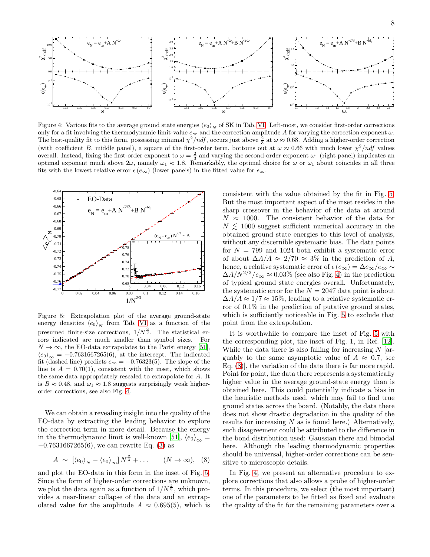

<span id="page-7-1"></span>Figure 4: Various fits to the average ground state energies  $\langle e_0 \rangle_N$  of SK in Tab. [VI.](#page-6-3) Left-most, we consider first-order corrections only for a fit involving the thermodynamic limit-value  $e_{\infty}$  and the correction amplitude A for varying the correction exponent  $\omega$ . The best-quality fit to this form, possessing minimal  $\chi^2/ndf$ , occurs just above  $\frac{2}{3}$  at  $\omega \approx 0.68$ . Adding a higher-order correction (with coefficient B, middle panel), a square of the first-order term, bottoms out at  $\omega \approx 0.66$  with much lower  $\chi^2/ndf$  values overall. Instead, fixing the first-order exponent to  $\omega = \frac{2}{3}$  and varying the second-order exponent  $\omega_1$  (right panel) implicates an optimal exponent much above  $2\omega$ , namely  $\omega_1 \approx 1.8$ . Remarkably, the optimal choice for  $\omega$  or  $\omega_1$  about coincides in all three fits with the lowest relative error  $\epsilon$  ( $e_{\infty}$ ) (lower panels) in the fitted value for  $e_{\infty}$ .



<span id="page-7-0"></span>Figure 5: Extrapolation plot of the average ground-state energy densities  $\langle e_0 \rangle_N$  from Tab. [VI](#page-6-3) as a function of the presumed finite-size corrections,  $1/N^{\frac{2}{3}}$ . The statistical errors indicated are much smaller than symbol sizes. For  $N \to \infty$ , the EO-data extrapolates to the Parisi energy [\[51](#page-19-6)],  $\langle e_0 \rangle_{\infty} = -0.7631667265(6)$ , at the intercept. The indicated fit (dashed line) predicts  $e_{\infty} = -0.76323(5)$ . The slope of the line is  $A = 0.70(1)$ , consistent with the inset, which shows the same data appropriately rescaled to extrapolate for A. It is  $B \approx 0.48$ , and  $\omega_1 \approx 1.8$  suggests surprisingly weak higherorder corrections, see also Fig. [4.](#page-7-1)

We can obtain a revealing insight into the quality of the EO-data by extracting the leading behavior to explore the correction term in more detail. Because the energy in the thermodynamic limit is well-known [\[51\]](#page-19-6),  $\langle e_0 \rangle_{\infty} =$  $-0.7631667265(6)$ , we can rewrite Eq. [\(3\)](#page-2-2) as

<span id="page-7-2"></span>
$$
A \sim \left[ \langle e_0 \rangle_N - \langle e_0 \rangle_\infty \right] N^{\frac{2}{3}} + \dots \qquad (N \to \infty), \quad (8)
$$

and plot the EO-data in this form in the inset of Fig. [5.](#page-7-0) Since the form of higher-order corrections are unknown, we plot the data again as a function of  $1/N^{\frac{2}{3}}$ , which provides a near-linear collapse of the data and an extrapolated value for the amplitude  $A \approx 0.695(5)$ , which is consistent with the value obtained by the fit in Fig. [5.](#page-7-0) But the most important aspect of the inset resides in the sharp crossover in the behavior of the data at around  $N \approx 1000$ . The consistent behavior of the data for  $N \lesssim 1000$  suggest sufficient numerical accuracy in the obtained ground state energies to this level of analysis, without any discernible systematic bias. The data points for  $N = 799$  and 1024 both exhibit a systematic error of about  $\Delta A/A \approx 2/70 \approx 3\%$  in the prediction of A, hence, a relative systematic error of  $\epsilon(e_{\infty}) = \Delta e_{\infty}/e_{\infty} \sim$  $\Delta A/N^{2/3}/e_{\infty} \approx 0.03\%$  (see also Fig. [4\)](#page-7-1) in the prediction of typical ground state energies overall. Unfortunately, the systematic error for the  $N = 2047$  data point is about  $\Delta A/A \approx 1/7 \approx 15\%$ , leading to a relative systematic error of 0.1% in the prediction of putative ground states, which is sufficiently noticeable in Fig. [5](#page-7-0) to exclude that point from the extrapolation.

It is worthwhile to compare the inset of Fig. [5](#page-7-0) with the corresponding plot, the inset of Fig. 1, in Ref. [\[12\]](#page-18-8). While the data there is also falling for increasing  $N$  [arguably to the same asymptotic value of  $A \approx 0.7$ , see Eq. [\(8\)](#page-7-2)], the variation of the data there is far more rapid. Point for point, the data there represents a systematically higher value in the average ground-state energy than is obtained here. This could potentially indicate a bias in the heuristic methods used, which may fail to find true ground states across the board. (Notably, the data there does not show drastic degradation in the quality of the results for increasing  $N$  as is found here.) Alternatively, such disagreement could be attributed to the difference in the bond distribution used: Gaussian there and bimodal here. Although the leading thermodynamic properties should be universal, higher-order corrections can be sensitive to microscopic details.

In Fig. [4,](#page-7-1) we present an alternative procedure to explore corrections that also allows a probe of higher-order terms. In this procedure, we select (the most important) one of the parameters to be fitted as fixed and evaluate the quality of the fit for the remaining parameters over a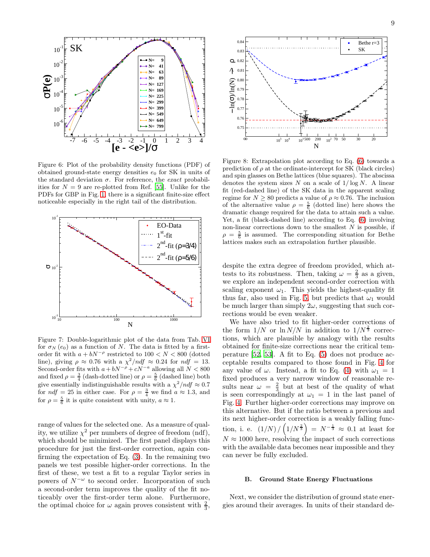

<span id="page-8-0"></span>Figure 6: Plot of the probability density functions (PDF) of obtained ground-state energy densities  $e_0$  for SK in units of the standard deviation  $\sigma$ . For reference, the *exact* probabilities for  $N = 9$  are re-plotted from Ref. [\[55](#page-19-7)]. Unlike for the PDFs for GBP in Fig. [1,](#page-4-0) there is a significant finite-size effect noticeable especially in the right tail of the distribution.



<span id="page-8-1"></span>Figure 7: Double-logarithmic plot of the data from Tab. [VI](#page-6-3) for  $\sigma_N$  (e<sub>0</sub>) as a function of N. The data is fitted by a firstorder fit with  $a + bN^{-\rho}$  restricted to 100 < N < 800 (dotted line), giving  $\rho \approx 0.76$  with a  $\chi^2/ndf \approx 0.24$  for  $nd\hat{f} = 13$ .<br>Second-order fits with  $a + bN^{-\rho} + cN^{-a}$  allowing all  $N < 800$ and fixed  $\rho = \frac{3}{4}$  (dash-dotted line) or  $\rho = \frac{5}{6}$  (dashed line) both give essentially indistinguishable results with a  $\chi^2/ndf \approx 0.7$ for  $ndf = 25$  in either case. For  $\rho = \frac{3}{4}$  we find  $a \approx 1.3$ , and for  $\rho = \frac{5}{6}$  it is quite consistent with unity,  $a \approx 1$ .

range of values for the selected one. As a measure of quality, we utilize  $\chi^2$  per numbers of degree of freedom (ndf), which should be minimized. The first panel displays this procedure for just the first-order correction, again confirming the expectation of Eq. [\(3\)](#page-2-2). In the remaining two panels we test possible higher-order corrections. In the first of these, we test a fit to a regular Taylor series in powers of  $N^{-\omega}$  to second order. Incorporation of such a second-order term improves the quality of the fit noticeably over the first-order term alone. Furthermore, the optimal choice for  $\omega$  again proves consistent with  $\frac{2}{3}$ ,



<span id="page-8-2"></span>Figure 8: Extrapolation plot according to Eq. [\(6\)](#page-2-1) towards a prediction of  $\rho$  at the ordinate-intercept for SK (black circles) and spin glasses on Bethe lattices (blue squares). The abscissa denotes the system sizes N on a scale of  $1/\log N$ . A linear fit (red-dashed line) of the SK data in the apparent scaling regime for  $N \ge 80$  predicts a value of  $\rho \approx 0.76$ . The inclusion of the alternative value  $\rho = \frac{5}{6}$  (dotted line) here shows the dramatic change required for the data to attain such a value. Yet, a fit (black-dashed line) according to Eq. [\(6\)](#page-2-1) involving non-linear corrections down to the smallest  $N$  is possible, if  $\rho = \frac{5}{6}$  is assumed. The corresponding situation for Bethe lattices makes such an extrapolation further plausible.

despite the extra degree of freedom provided, which attests to its robustness. Then, taking  $\omega = \frac{2}{3}$  as a given, we explore an independent second-order correction with scaling exponent  $\omega_1$ . This yields the highest-quality fit thus far, also used in Fig. [5,](#page-7-0) but predicts that  $\omega_1$  would be much larger than simply  $2\omega$ , suggesting that such corrections would be even weaker.

We have also tried to fit higher-order corrections of the form  $1/N$  or  $\ln N/N$  in addition to  $1/N^{\frac{2}{3}}$  corrections, which are plausible by analogy with the results obtained for finite-size corrections near the critical temperature [\[52](#page-19-3), [53\]](#page-19-4). A fit to Eq. [\(5\)](#page-2-3) does not produce acceptable results compared to those found in Fig. [4](#page-7-1) for any value of  $\omega$ . Instead, a fit to Eq. [\(4\)](#page-2-4) with  $\omega_1 = 1$ fixed produces a very narrow window of reasonable results near  $\omega = \frac{2}{3}$  but at best of the quality of what is seen correspondingly at  $\omega_1 = 1$  in the last panel of Fig. [4.](#page-7-1) Further higher-order corrections may improve on this alternative. But if the ratio between a previous and its next higher-order correction is a weakly falling function, i. e.  $(1/N)/\left(1/N^{\frac{2}{3}}\right) = N^{-\frac{1}{3}} \approx 0.1$  at least for  $N \approx 1000$  here, resolving the impact of such corrections with the available data becomes near impossible and they can never be fully excluded.

## <span id="page-8-3"></span>B. Ground State Energy Fluctuations

Next, we consider the distribution of ground state energies around their averages. In units of their standard de-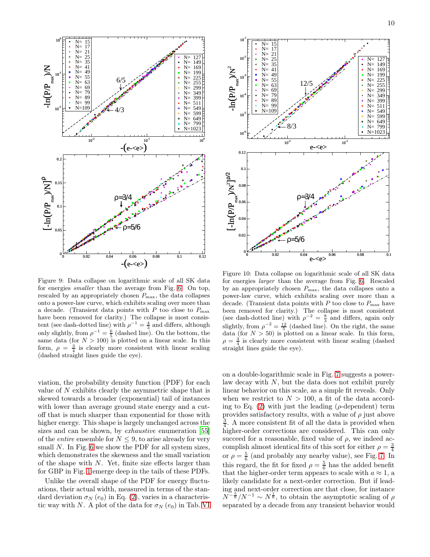

<span id="page-9-0"></span>Figure 9: Data collapse on logarithmic scale of all SK data for energies smaller than the average from Fig. [6.](#page-8-0) On top, rescaled by an appropriately chosen  $P_{\text{max}}$ , the data collapses onto a power-law curve, which exhibits scaling over more than a decade. (Transient data points with P too close to  $P_{\text{max}}$ ) have been removed for clarity.) The collapse is most consistent (see dash-dotted line) with  $\rho^{-1} = \frac{4}{3}$  and differs, although only slightly, from  $\rho^{-1} = \frac{6}{5}$  (dashed line). On the bottom, the same data (for  $N > 100$ ) is plotted on a linear scale. In this form,  $\rho = \frac{3}{4}$  is clearly more consistent with linear scaling (dashed straight lines guide the eye).

viation, the probability density function (PDF) for each value of  $N$  exhibits clearly the asymmetric shape that is skewed towards a broader (exponential) tail of instances with lower than average ground state energy and a cutoff that is much sharper than exponential for those with higher energy. This shape is largely unchanged across the sizes and can be shown, by *exhaustive* enumeration [\[55](#page-19-7)] of the *entire* ensemble for  $N \leq 9$ , to arise already for very small N. In Fig. [6](#page-8-0) we show the PDF for all system sizes, which demonstrates the skewness and the small variation of the shape with  $N$ . Yet, finite size effects larger than for GBP in Fig. [1](#page-4-0) emerge deep in the tails of these PDFs.

Unlike the overall shape of the PDF for energy fluctuations, their actual width, measured in terms of the standard deviation  $\sigma_N$  (e<sub>0</sub>) in Eq. [\(2\)](#page-0-2), varies in a characteristic way with N. A plot of the data for  $\sigma_N$  (e<sub>0</sub>) in Tab. [VI](#page-6-3)



<span id="page-9-1"></span>Figure 10: Data collapse on logarithmic scale of all SK data for energies larger than the average from Fig. [6.](#page-8-0) Rescaled by an appropriately chosen  $P_{\text{max}}$ , the data collapses onto a power-law curve, which exhibits scaling over more than a decade. (Transient data points with  $P$  too close to  $P_{\text{max}}$  have been removed for clarity.) The collapse is most consistent (see dash-dotted line) with  $\rho^{-2} = \frac{8}{3}$  and differs, again only slightly, from  $\rho^{-2} = \frac{12}{5}$  (dashed line). On the right, the same data (for  $N > 50$ ) is plotted on a linear scale. In this form,  $\rho = \frac{3}{4}$  is clearly more consistent with linear scaling (dashed straight lines guide the eye).

on a double-logarithmic scale in Fig. [7](#page-8-1) suggests a powerlaw decay with N, but the data does not exhibit purely linear behavior on this scale, as a simple fit reveals. Only when we restrict to  $N > 100$ , a fit of the data according to Eq.  $(2)$  with just the leading ( $\rho$ -dependent) term provides satisfactory results, with a value of  $\rho$  just above  $\frac{3}{4}$ . A more consistent fit of all the data is provided when higher-order corrections are considered. This can only succeed for a reasonable, fixed value of  $\rho$ , we indeed accomplish almost identical fits of this sort for either  $\rho = \frac{3}{4}$ or  $\rho = \frac{5}{6}$  (and probably any nearby value), see Fig. [7.](#page-8-1) In this regard, the fit for fixed  $\rho = \frac{5}{6}$  has the added benefit that the higher-order term appears to scale with  $a \approx 1$ , a likely candidate for a next-order correction. But if leading and next-order correction are that close, for instance  $N^{-\frac{5}{6}}/N^{-1} \sim N^{\frac{1}{6}}$ , to obtain the asymptotic scaling of  $\rho$ separated by a decade from any transient behavior would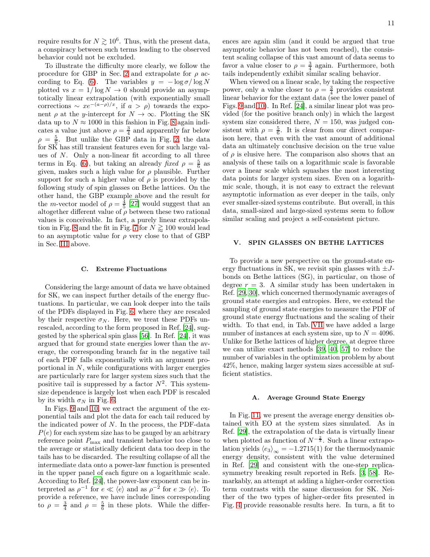require results for  $N \gtrsim 10^6$ . Thus, with the present data, a conspiracy between such terms leading to the observed behavior could not be excluded.

To illustrate the difficulty more clearly, we follow the procedure for GBP in Sec. [2](#page-5-1) and extrapolate for  $\rho$  ac-cording to Eq. [\(6\)](#page-2-1). The variables  $y = -\log \sigma / \log N$ plotted vs  $x = 1/\log N \to 0$  should provide an asymptotically linear extrapolation (with exponentially small corrections  $\sim xe^{-(a-\rho)/x}$ , if  $a > \rho$ ) towards the exponent  $\rho$  at the y-intercept for  $N \to \infty$ . Plotting the SK data up to  $N \approx 1000$  in this fashion in Fig. [8](#page-8-2) again indicates a value just above  $\rho = \frac{3}{4}$  and apparently far below  $\rho = \frac{5}{6}$ . But unlike the GBP data in Fig. [2,](#page-5-1) the data for SK has still transient features even for such large values of N. Only a non-linear fit according to all three terms in Eq. [\(6\)](#page-2-1), but taking an already fixed  $\rho = \frac{5}{6}$  as given, makes such a high value for  $\rho$  plausible. Further support for such a higher value of  $\rho$  is provided by the following study of spin glasses on Bethe lattices. On the other hand, the GBP example above and the result for the *m*-vector model of  $\rho = \frac{4}{5}$  [\[27](#page-18-21)] would suggest that an altogether different value of  $\rho$  between these two rational values is conceivable. In fact, a purely linear extrapola-tion in Fig. [8](#page-8-2) and the fit in Fig. [7](#page-8-1) for  $N \gtrsim 100$  would lead to an asymptotic value for  $\rho$  very close to that of GBP in Sec. [III](#page-2-0) above.

#### <span id="page-10-1"></span>C. Extreme Fluctuations

Considering the large amount of data we have obtained for SK, we can inspect further details of the energy fluctuations. In particular, we can look deeper into the tails of the PDFs displayed in Fig. [6,](#page-8-0) where they are rescaled by their respective  $\sigma_N$ . Here, we treat these PDFs unrescaled, according to the form proposed in Ref. [\[24](#page-18-44)], suggested by the spherical spin glass [\[56\]](#page-19-8). In Ref. [\[24\]](#page-18-44), it was argued that for ground state energies lower than the average, the corresponding branch far in the negative tail of each PDF falls exponentially with an argument proportional in  $N$ , while configurations with larger energies are particularly rare for larger system sizes such that the positive tail is suppressed by a factor  $N^2$ . This systemsize dependence is largely lost when each PDF is rescaled by its width  $\sigma_N$  in Fig. [6.](#page-8-0)

In Figs. [9](#page-9-0) and [10,](#page-9-1) we extract the argument of the exponential tails and plot the data for each tail reduced by the indicated power of  $N$ . In the process, the PDF-data  $P(e)$  for each system size has to be gauged by an arbitrary reference point  $P_{\text{max}}$  and transient behavior too close to the average or statistically deficient data too deep in the tails has to be discarded. The resulting collapse of all the intermediate data onto a power-law function is presented in the upper panel of each figure on a logarithmic scale. According to Ref. [\[24](#page-18-44)], the power-law exponent can be interpreted as  $\rho^{-1}$  for  $e \ll \langle e \rangle$  and as  $\rho^{-2}$  for  $e \gg \langle e \rangle$ . To provide a reference, we have include lines corresponding to  $\rho = \frac{3}{4}$  and  $\rho = \frac{5}{6}$  in these plots. While the differences are again slim (and it could be argued that true asymptotic behavior has not been reached), the consistent scaling collapse of this vast amount of data seems to favor a value closer to  $\rho = \frac{3}{4}$  again. Furthermore, both tails independently exhibit similar scaling behavior.

When viewed on a linear scale, by taking the respective power, only a value closer to  $\rho = \frac{3}{4}$  provides consistent linear behavior for the extant data (see the lower panel of Figs. [9](#page-9-0) and [10\)](#page-9-1). In Ref. [\[24\]](#page-18-44), a similar linear plot was provided (for the positive branch only) in which the largest system size considered there,  $N = 150$ , was judged consistent with  $\rho = \frac{5}{6}$ . It is clear from our direct comparison here, that even with the vast amount of additional data an ultimately conclusive decision on the true value of  $\rho$  is elusive here. The comparison also shows that an analysis of these tails on a logarithmic scale is favorable over a linear scale which squashes the most interesting data points for larger system sizes. Even on a logarithmic scale, though, it is not easy to extract the relevant asymptotic information as ever deeper in the tails, only ever smaller-sized systems contribute. But overall, in this data, small-sized and large-sized systems seem to follow similar scaling and project a self-consistent picture.

### <span id="page-10-0"></span>V. SPIN GLASSES ON BETHE LATTICES

To provide a new perspective on the ground-state energy fluctuations in SK, we revisit spin glasses with  $\pm J$ bonds on Bethe lattices (SG), in particular, on those of degree  $r = 3$ . A similar study has been undertaken in Ref. [\[29,](#page-18-25) [30\]](#page-18-26), which concerned thermodynamic averages of ground state energies and entropies. Here, we extend the sampling of ground state energies to measure the PDF of ground state energy fluctuations and the scaling of their width. To that end, in Tab. [VII](#page-11-0) we have added a large number of instances at each system size, up to  $N = 4096$ . Unlike for Bethe lattices of higher degree, at degree three we can utilize exact methods [\[39,](#page-18-35) [40,](#page-18-36) [57](#page-19-9)] to reduce the number of variables in the optimization problem by about 42%, hence, making larger system sizes accessible at sufficient statistics.

### A. Average Ground State Energy

In Fig. [11,](#page-11-1) we present the average energy densities obtained with EO at the system sizes simulated. As in Ref. [\[29\]](#page-18-25), the extrapolation of the data is virtually linear when plotted as function of  $N^{-\frac{2}{3}}$ . Such a linear extrapolation yields  $\langle e_3 \rangle_{\infty} = -1.2715(1)$  for the thermodynamic energy density, consistent with the value determined in Ref. [\[29\]](#page-18-25) and consistent with the one-step replicasymmetry breaking result reported in Refs. [\[3](#page-18-2), [58\]](#page-19-10). Remarkably, an attempt at adding a higher-order correction term contrasts with the same discussion for SK. Neither of the two types of higher-order fits presented in Fig. [4](#page-7-1) provide reasonable results here. In turn, a fit to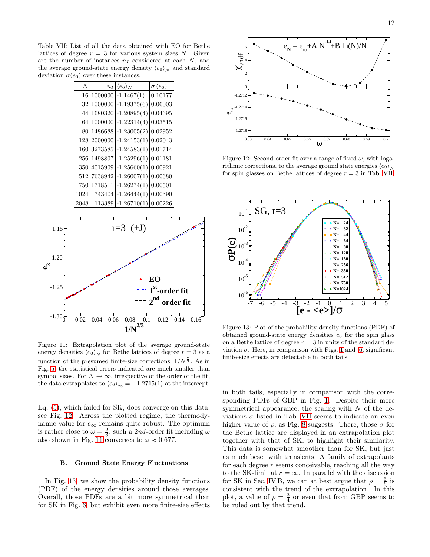<span id="page-11-0"></span>Table VII: List of all the data obtained with EO for Bethe lattices of degree  $r = 3$  for various system sizes N. Given are the number of instances  $n_I$  considered at each  $N$ , and the average ground-state energy density  $\langle e_0 \rangle_N$  and standard deviation  $\sigma(e_0)$  over these instances.

|             | $\boldsymbol{N}$ | $n_I$        | $\langle e_0 \rangle_N$       | $\sigma(e_0)$                     |
|-------------|------------------|--------------|-------------------------------|-----------------------------------|
|             | 16               |              | $1000000 - 1.1467(1)$         | 0.10177                           |
|             | 32               |              | $1000000$ -1.19375(6)         | 0.06003                           |
|             | 44               |              | 1680320 -1.20895(4) 0.04695   |                                   |
|             | 64               |              | $1000000$ -1.22314(4) 0.03515 |                                   |
|             | 80               |              | 1486688 -1.23005(2) 0.02952   |                                   |
|             | 128              |              | 2000000 -1.24153(1) 0.02043   |                                   |
|             | 160              |              | 3273585 -1.24583(1) 0.01714   |                                   |
|             | 256              |              | 1498807 - 1.25296(1) 0.01181  |                                   |
|             | 350              |              | $4015909$ -1.25660(1) 0.00921 |                                   |
|             | 512              |              | 7638942 -1.26007(1) 0.00680   |                                   |
|             | 750              |              | 1718511 -1.26274(1) 0.00501   |                                   |
|             | 1024             |              | 743404 -1.26444(1) 0.00390    |                                   |
|             | 2048             |              | $113389$ -1.26710(1) 0.00226  |                                   |
|             |                  |              |                               |                                   |
|             |                  |              | $r=3$ ( $\pm J$ )             |                                   |
| $-1.15$     |                  |              |                               |                                   |
|             |                  |              |                               |                                   |
|             |                  |              |                               |                                   |
| $-1.20$     |                  |              |                               |                                   |
|             |                  |              |                               |                                   |
|             |                  |              |                               | EO                                |
| $-1.25$     |                  |              |                               | $1st$ -order fit                  |
|             |                  |              |                               |                                   |
|             |                  |              |                               | $2nd$ -order fit                  |
| $-1.30_0^L$ | 0.02             | 0.04<br>0.06 | 0.08 0.1                      | $\overline{0.12}$<br>0.14<br>0.16 |
|             |                  |              | $1/N^{2/3}$                   |                                   |
|             |                  |              |                               |                                   |

<span id="page-11-1"></span>Figure 11: Extrapolation plot of the average ground-state energy densities  $\langle e_0 \rangle_N$  for Bethe lattices of degree  $r = 3$  as a function of the presumed finite-size corrections,  $1/N^{\frac{2}{3}}$ . As in Fig. [5,](#page-7-0) the statistical errors indicated are much smaller than symbol sizes. For  $N \to \infty$ , irrespective of the order of the fit, the data extrapolates to  $\langle e_0 \rangle_{\infty} = -1.2715(1)$  at the intercept.

Eq. [\(5\)](#page-2-3), which failed for SK, does converge on this data, see Fig. [12.](#page-11-2) Across the plotted regime, the thermodynamic value for  $e_{\infty}$  remains quite robust. The optimum is rather close to  $\omega = \frac{2}{3}$ ; such a 2nd-order fit including  $\omega$ also shown in Fig. [11](#page-11-1) converges to  $\omega \approx 0.677$ .

# B. Ground State Energy Fluctuations

In Fig. [13,](#page-11-3) we show the probability density functions (PDF) of the energy densities around those averages. Overall, those PDFs are a bit more symmetrical than for SK in Fig. [6,](#page-8-0) but exhibit even more finite-size effects



<span id="page-11-2"></span>Figure 12: Second-order fit over a range of fixed  $\omega$ , with logarithmic corrections, to the average ground state energies  $\langle e_0 \rangle_N$ for spin glasses on Bethe lattices of degree  $r = 3$  in Tab. [VII.](#page-11-0)



<span id="page-11-3"></span>Figure 13: Plot of the probability density functions (PDF) of obtained ground-state energy densities  $e_0$  for the spin glass on a Bethe lattice of degree  $r = 3$  in units of the standard deviation  $\sigma$ . Here, in comparison with Figs. [1](#page-4-0) and [6,](#page-8-0) significant finite-size effects are detectable in both tails.

in both tails, especially in comparison with the corresponding PDFs of GBP in Fig. [1.](#page-4-0) Despite their more symmetrical appearance, the scaling with  $N$  of the deviations  $\sigma$  listed in Tab. [VII](#page-11-0) seems to indicate an even higher value of  $\rho$ , as Fig. [8](#page-8-2) suggests. There, those  $\sigma$  for the Bethe lattice are displayed in an extrapolation plot together with that of SK, to highlight their similarity. This data is somewhat smoother than for SK, but just as much beset with transients. A family of extrapolants for each degree  $r$  seems conceivable, reaching all the way to the SK-limit at  $r = \infty$ . In parallel with the discussion for SK in Sec. [IV B,](#page-8-3) we can at best argue that  $\rho = \frac{5}{6}$  is consistent with the trend of the extrapolation. In this plot, a value of  $\rho = \frac{3}{4}$  or even that from GBP seems to be ruled out by that trend.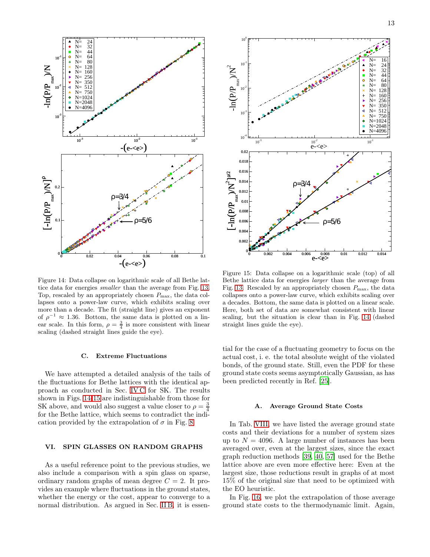

<span id="page-12-1"></span>Figure 14: Data collapse on logarithmic scale of all Bethe lattice data for energies smaller than the average from Fig. [13.](#page-11-3) Top, rescaled by an appropriately chosen  $P_{\text{max}}$ , the data collapses onto a power-law curve, which exhibits scaling over more than a decade. The fit (straight line) gives an exponent of  $\rho^{-1} \approx 1.36$ . Bottom, the same data is plotted on a linear scale. In this form,  $\rho = \frac{3}{4}$  is more consistent with linear scaling (dashed straight lines guide the eye).

#### C. Extreme Fluctuations

We have attempted a detailed analysis of the tails of the fluctuations for Bethe lattices with the identical approach as conducted in Sec. [IV C](#page-10-1) for SK. The results shown in Figs. [14-](#page-12-1)[15](#page-12-2) are indistinguishable from those for SK above, and would also suggest a value closer to  $\rho = \frac{3}{4}$ for the Bethe lattice, which seems to contradict the indication provided by the extrapolation of  $\sigma$  in Fig. [8.](#page-8-2)

# <span id="page-12-0"></span>VI. SPIN GLASSES ON RANDOM GRAPHS

As a useful reference point to the previous studies, we also include a comparison with a spin glass on sparse, ordinary random graphs of mean degree  $C = 2$ . It provides an example where fluctuations in the ground states, whether the energy or the cost, appear to converge to a normal distribution. As argued in Sec. [II B,](#page-1-1) it is essen-



<span id="page-12-2"></span>Figure 15: Data collapse on a logarithmic scale (top) of all Bethe lattice data for energies larger than the average from Fig. [13.](#page-11-3) Rescaled by an appropriately chosen  $P_{\text{max}}$ , the data collapses onto a power-law curve, which exhibits scaling over a decades. Bottom, the same data is plotted on a linear scale. Here, both set of data are somewhat consistent with linear scaling, but the situation is clear than in Fig. [14](#page-12-1) (dashed straight lines guide the eye).

tial for the case of a fluctuating geometry to focus on the actual cost, i. e. the total absolute weight of the violated bonds, of the ground state. Still, even the PDF for these ground state costs seems asymptotically Gaussian, as has been predicted recently in Ref. [\[25](#page-18-19)].

#### A. Average Ground State Costs

In Tab. [VIII,](#page-13-1) we have listed the average ground state costs and their deviations for a number of system sizes up to  $N = 4096$ . A large number of instances has been averaged over, even at the largest sizes, since the exact graph reduction methods [\[39,](#page-18-35) [40,](#page-18-36) [57](#page-19-9)] used for the Bethe lattice above are even more effective here: Even at the largest size, those reductions result in graphs of at most 15% of the original size that need to be optimized with the EO heuristic.

In Fig. [16,](#page-13-2) we plot the extrapolation of those average ground state costs to the thermodynamic limit. Again,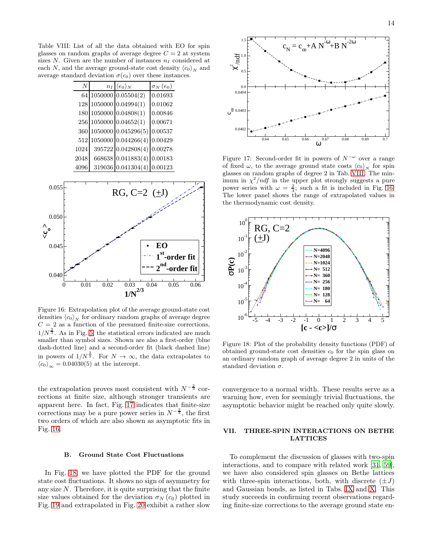Table VIII: List of all the data obtained with EO for spin glasses on random graphs of average degree  $C = 2$  at system sizes  $N$ . Given are the number of instances  $n_I$  considered at each N, and the average ground-state cost density  $\langle c_0 \rangle_N$  and average standard deviation  $\sigma(c_0)$  over these instances.

<span id="page-13-1"></span>

| A    | $n_I  \langle e_0 \rangle_N$ | $\sigma_N(e_0)$ |
|------|------------------------------|-----------------|
|      | 64 1050000 0.05504(2)        | 0.01693         |
|      | 128 1050000 0.04994(1)       | 0.01062         |
|      | 180 1050000 0.04808(1)       | 0.00846         |
|      | 256 1050000 0.04652(1)       | 0.00671         |
|      | 360 1050000 0.045296(5)      | 0.00537         |
|      | 512 1050000 0.044266(4)      | 0.00429         |
| 1024 | 395722 0.042808(4)           | 0.00278         |
| 2048 | 668638 0.041883(4) 0.00183   |                 |
| 4096 | 319036 0.041304(4)           | 0.00123         |



<span id="page-13-2"></span>Figure 16: Extrapolation plot of the average ground-state cost densities  $\langle c_0 \rangle_N$  for ordinary random graphs of average degree  $C = 2$  as a function of the presumed finite-size corrections,  $1/N^{\frac{2}{3}}$ . As in Fig. [5,](#page-7-0) the statistical errors indicated are much smaller than symbol sizes. Shown are also a first-order (blue dash-dotted line) and a second-order fit (black dashed line) in powers of  $1/N^{\frac{2}{3}}$ . For  $N \to \infty$ , the data extrapolates to  $\langle c_0 \rangle_{\infty} = 0.04030(5)$  at the intercept.

the extrapolation proves most consistent with  $N^{-\frac{2}{3}}$  corrections at finite size, although stronger transients are apparent here. In fact, Fig. [17](#page-13-3) indicates that finite-size corrections may be a pure power series in  $N^{-\frac{2}{3}}$ , the first two orders of which are also shown as asymptotic fits in Fig. [16.](#page-13-2)

#### B. Ground State Cost Fluctuations

In Fig. [18,](#page-13-4) we have plotted the PDF for the ground state cost fluctuations. It shows no sign of asymmetry for any size  $N$ . Therefore, it is quite surprising that the finite size values obtained for the deviation  $\sigma_N(c_0)$  plotted in Fig. [19](#page-14-0) and extrapolated in Fig. [20](#page-14-1) exhibit a rather slow



<span id="page-13-3"></span>Figure 17: Second-order fit in powers of  $N^{-\omega}$  over a range of fixed  $\omega$ , to the average ground state costs  $\langle c_0 \rangle_N$  for spin glasses on random graphs of degree 2 in Tab. [VIII.](#page-13-1) The minimum in  $\chi^2$ */ndf* in the upper plot strongly suggests a pure power series with  $\omega = \frac{2}{3}$ ; such a fit is included in Fig. [16.](#page-13-2) The lower panel shows the range of extrapolated values in the thermodynamic cost density.



<span id="page-13-4"></span>Figure 18: Plot of the probability density functions (PDF) of obtained ground-state cost densities  $c_0$  for the spin glass on an ordinary random graph of average degree 2 in units of the standard deviation  $\sigma$ .

convergence to a normal width. These results serve as a warning how, even for seemingly trivial fluctuations, the asymptotic behavior might be reached only quite slowly.

# <span id="page-13-0"></span>VII. THREE-SPIN INTERACTIONS ON BETHE LATTICES

To complement the discussion of glasses with two-spin interactions, and to compare with related work [\[31](#page-18-27), [59\]](#page-19-11), we have also considered spin glasses on Bethe lattices with three-spin interactions, both, with discrete  $(\pm J)$ and Gaussian bonds, as listed in Tabs. [IX](#page-14-2) and [X.](#page-14-3) This study succeeds in confirming recent observations regarding finite-size corrections to the average ground state en-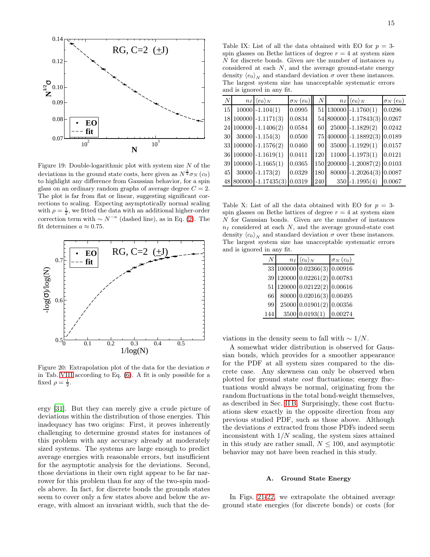

<span id="page-14-0"></span>Figure 19: Double-logarithmic plot with system size  $N$  of the deviations in the ground state costs, here given as  $N^{\frac{1}{2}}\sigma_N(c_0)$ to highlight any difference from Gaussian behavior, for a spin glass on an ordinary random graphs of average degree  $C = 2$ . The plot is far from flat or linear, suggesting significant corrections to scaling. Expecting asymptotically normal scaling with  $\rho = \frac{1}{2}$ , we fitted the data with an additional higher-order correction term with  $\sim N^{-a}$  (dashed line), as in Eq. [\(2\)](#page-0-2). The fit determines  $a \approx 0.75$ .



<span id="page-14-1"></span>Figure 20: Extrapolation plot of the data for the deviation  $\sigma$ in Tab. [VIII](#page-13-1) according to Eq. [\(6\)](#page-2-1). A fit is only possible for a fixed  $\rho = \frac{1}{2}$ .

ergy [\[31\]](#page-18-27). But they can merely give a crude picture of deviations within the distribution of those energies. This inadequacy has two origins: First, it proves inherently challenging to determine ground states for instances of this problem with any accuracy already at moderately sized systems. The systems are large enough to predict average energies with reasonable errors, but insufficient for the asymptotic analysis for the deviations. Second, those deviations in their own right appear to be far narrower for this problem than for any of the two-spin models above. In fact, for discrete bonds the grounds states seem to cover only a few states above and below the average, with almost an invariant width, such that the de-

<span id="page-14-2"></span>Table IX: List of all the data obtained with EO for  $p = 3$ spin glasses on Bethe lattices of degree  $r = 4$  at system sizes N for discrete bonds. Given are the number of instances  $n_I$ considered at each  $N$ , and the average ground-state energy density  $\langle e_0 \rangle_N$  and standard deviation  $\sigma$  over these instances. The largest system size has unacceptable systematic errors and is ignored in any fit.

| N               | $n_I \langle e_0 \rangle_N$ | $\sigma_N(e_0)$ | $\boldsymbol{N}$ | $n_I  \langle e_0 \rangle_N$              | $\sigma_N(e_0)$ |
|-----------------|-----------------------------|-----------------|------------------|-------------------------------------------|-----------------|
| 15 <sup>1</sup> | $10000$ $-1.104(1)$         | 0.0995          |                  | $51 130000 - 1.1760(1)$                   | 0.0296          |
|                 | $18 100000  -1.1171(3)$     | 0.0834          |                  | 54 800000 -1.17843(3) 0.0267              |                 |
|                 | 24 100000 -1.1406(2)        | 0.0584          | 60               | $25000 - 1.1829(2)$                       | 0.0242          |
| <b>30</b>       | $30000 - 1.154(3)$          | 0.0500          |                  | 75 400000 -1.18892(3) 0.0189              |                 |
|                 | 33 100000 -1.1576(2)        | 0.0460          | 90               | $35000 - 1.1929(1)$                       | 0.0157          |
|                 | $36 100000  -1.1619(1)$     | 0.0411          | 120              | $11000 - 1.1973(1)$                       | 0.0121          |
|                 | 39 100000 $-1.1665(1)$      | 0.0365          |                  | $\parallel$ 150 200000 -1.20087(2) 0.0103 |                 |
| 45              | $30000$ -1.173(2)           | 0.0329          | 180              | $80000 - 1.20264(3) 0.0087$               |                 |
|                 | $48 800000  -1.17435(3)$    | 0.0319          | 240              | $350 - 1.1995(4)$                         | 0.0067          |

<span id="page-14-3"></span>Table X: List of all the data obtained with EO for  $p = 3$ spin glasses on Bethe lattices of degree  $r = 4$  at system sizes N for Gaussian bonds. Given are the number of instances  $n_I$  considered at each  $N$ , and the average ground-state cost density  $\langle c_0 \rangle_N$  and standard deviation  $\sigma$  over these instances. The largest system size has unacceptable systematic errors and is ignored in any fit.

| N   | $n_I  \langle c_0 \rangle_N$ | $\sigma_N(c_0)$ |
|-----|------------------------------|-----------------|
|     | 33 100000 0.02366(3) 0.00916 |                 |
| 39  | 12000000002261(2)0.00783     |                 |
| 51  | 120000 0.02122(2) 0.00616    |                 |
| 66  | 80000 0.02016(3) 0.00495     |                 |
| 99  | 25000 0.01901(2) 0.00356     |                 |
| 144 | 3500 0.0193(1)               | 0.00274         |

viations in the density seem to fall with  $\sim 1/N$ .

A somewhat wider distribution is observed for Gaussian bonds, which provides for a smoother appearance for the PDF at all system sizes compared to the discrete case. Any skewness can only be observed when plotted for ground state cost fluctuations; energy fluctuations would always be normal, originating from the random fluctuations in the total bond-weight themselves, as described in Sec. [II B.](#page-1-1) Surprisingly, these cost fluctuations skew exactly in the opposite direction from any previous studied PDF, such as those above. Although the deviations  $\sigma$  extracted from those PDFs indeed seem inconsistent with  $1/N$  scaling, the system sizes attained in this study are rather small,  $N \leq 100$ , and asymptotic behavior may not have been reached in this study.

## A. Ground State Energy

In Figs. [21-](#page-15-0)[22,](#page-15-1) we extrapolate the obtained average ground state energies (for discrete bonds) or costs (for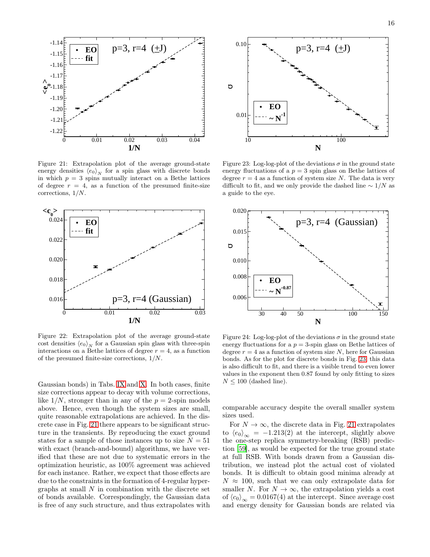

<span id="page-15-0"></span>Figure 21: Extrapolation plot of the average ground-state energy densities  $\langle e_0 \rangle_N$  for a spin glass with discrete bonds in which  $p = 3$  spins mutually interact on a Bethe lattices of degree  $r = 4$ , as a function of the presumed finite-size corrections, 1/N.



<span id="page-15-1"></span>Figure 22: Extrapolation plot of the average ground-state cost densities  $\langle e_0 \rangle_N$  for a Gaussian spin glass with three-spin interactions on a Bethe lattices of degree  $r = 4$ , as a function of the presumed finite-size corrections, 1/N.

Gaussian bonds) in Tabs. [IX](#page-14-2) and [X.](#page-14-3) In both cases, finite size corrections appear to decay with volume corrections, like  $1/N$ , stronger than in any of the  $p = 2$ -spin models above. Hence, even though the system sizes are small, quite reasonable extrapolations are achieved. In the discrete case in Fig. [21](#page-15-0) there appears to be significant structure in the transients. By reproducing the exact ground states for a sample of those instances up to size  $N = 51$ with exact (branch-and-bound) algorithms, we have verified that these are not due to systematic errors in the optimization heuristic, as 100% agreement was achieved for each instance. Rather, we expect that those effects are due to the constraints in the formation of 4-regular hypergraphs at small  $N$  in combination with the discrete set of bonds available. Correspondingly, the Gaussian data is free of any such structure, and thus extrapolates with



<span id="page-15-2"></span>Figure 23: Log-log-plot of the deviations  $\sigma$  in the ground state energy fluctuations of a  $p = 3$  spin glass on Bethe lattices of degree  $r = 4$  as a function of system size N. The data is very difficult to fit, and we only provide the dashed line  $\sim 1/N$  as a guide to the eye.



<span id="page-15-3"></span>Figure 24: Log-log-plot of the deviations  $\sigma$  in the ground state energy fluctuations for a  $p = 3$ -spin glass on Bethe lattices of degree  $r = 4$  as a function of system size N, here for Gaussian bonds. As for the plot for discrete bonds in Fig. [23,](#page-15-2) this data is also difficult to fit, and there is a visible trend to even lower values in the exponent then 0.87 found by only fitting to sizes  $N \leq 100$  (dashed line).

comparable accuracy despite the overall smaller system sizes used.

For  $N \to \infty$ , the discrete data in Fig. [21](#page-15-0) extrapolates to  $\langle e_0 \rangle_{\infty} = -1.213(2)$  at the intercept, slightly above the one-step replica symmetry-breaking (RSB) prediction [\[59](#page-19-11)], as would be expected for the true ground state at full RSB. With bonds drawn from a Gaussian distribution, we instead plot the actual cost of violated bonds. It is difficult to obtain good minima already at  $N \approx 100$ , such that we can only extrapolate data for smaller N. For  $N \to \infty$ , the extrapolation yields a cost of  $\langle c_0 \rangle_{\infty} = 0.0167(4)$  at the intercept. Since average cost and energy density for Gaussian bonds are related via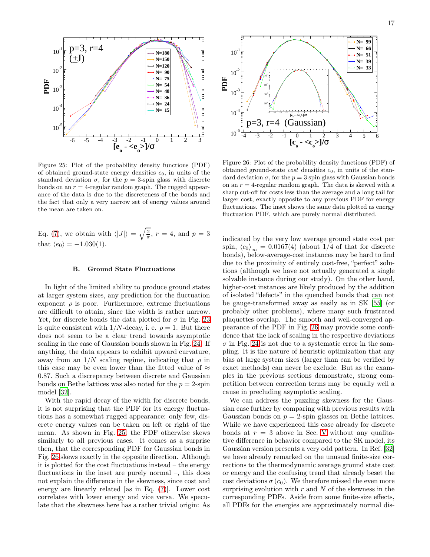

<span id="page-16-0"></span>Figure 25: Plot of the probability density functions (PDF) of obtained ground-state energy densities  $e_0$ , in units of the standard deviation  $\sigma$ , for the  $p = 3$ -spin glass with discrete bonds on an  $r = 4$ -regular random graph. The rugged appearance of the data is due to the discreteness of the bonds and the fact that only a very narrow set of energy values around the mean are taken on.

Eq. [\(7\)](#page-2-5), we obtain with  $\langle |J| \rangle = \sqrt{\frac{2}{\pi}}, r = 4$ , and  $p = 3$ that  $\langle e_0 \rangle = -1.030(1)$ .

#### B. Ground State Fluctuations

In light of the limited ability to produce ground states at larger system sizes, any prediction for the fluctuation exponent  $\rho$  is poor. Furthermore, extreme fluctuations are difficult to attain, since the width is rather narrow. Yet, for discrete bonds the data plotted for  $\sigma$  in Fig. [23](#page-15-2) is quite consistent with  $1/N$ -decay, i. e.  $\rho = 1$ . But there does not seem to be a clear trend towards asymptotic scaling in the case of Gaussian bonds shown in Fig. [24.](#page-15-3) If anything, the data appears to exhibit upward curvature, away from an  $1/N$  scaling regime, indicating that  $\rho$  in this case may be even lower than the fitted value of  $\approx$ 0.87. Such a discrepancy between discrete and Gaussian bonds on Bethe lattices was also noted for the  $p = 2$ -spin model [\[32](#page-18-28)].

With the rapid decay of the width for discrete bonds, it is not surprising that the PDF for its energy fluctuations has a somewhat rugged appearance: only few, discrete energy values can be taken on left or right of the mean. As shown in Fig. [25,](#page-16-0) the PDF otherwise skews similarly to all previous cases. It comes as a surprise then, that the corresponding PDF for Gaussian bonds in Fig. [26](#page-16-1) skews exactly in the opposite direction. Although it is plotted for the cost fluctuations instead – the energy fluctuations in the inset are purely normal –, this does not explain the difference in the skewness, since cost and energy are linearly related [as in Eq. [\(7\)](#page-2-5)]. Lower cost correlates with lower energy and vice versa. We speculate that the skewness here has a rather trivial origin: As



<span id="page-16-1"></span>Figure 26: Plot of the probability density functions (PDF) of obtained ground-state  $cost$  densities  $c<sub>0</sub>$ , in units of the standard deviation  $\sigma$ , for the  $p = 3$  spin glass with Gaussian bonds on an  $r = 4$ -regular random graph. The data is skewed with a sharp cut-off for costs less than the average and a long tail for larger cost, exactly opposite to any previous PDF for energy fluctuations. The inset shows the same data plotted as energy fluctuation PDF, which are purely normal distributed.

indicated by the very low average ground state cost per spin,  $\langle c_0 \rangle_{\infty} = 0.0167(4)$  (about 1/4 of that for discrete bonds), below-average-cost instances may be hard to find due to the proximity of entirely cost-free, "perfect" solutions (although we have not actually generated a single solvable instance during our study). On the other hand, higher-cost instances are likely produced by the addition of isolated "defects" in the quenched bonds that can not be gauge-transformed away as easily as in SK [\[55](#page-19-7)] (or probably other problems), where many such frustrated plaquettes overlap. The smooth and well-converged appearance of the PDF in Fig. [26](#page-16-1) may provide some confidence that the lack of scaling in the respective deviations  $\sigma$  in Fig. [24](#page-15-3) is not due to a systematic error in the sampling. It is the nature of heuristic optimization that any bias at large system sizes (larger than can be verified by exact methods) can never be exclude. But as the examples in the previous sections demonstrate, strong competition between correction terms may be equally well a cause in precluding asymptotic scaling.

We can address the puzzling skewness for the Gaussian case further by comparing with previous results with Gaussian bonds on  $p = 2$ -spin glasses on Bethe lattices. While we have experienced this case already for discrete bonds at  $r = 3$  above in Sec. [V](#page-10-0) without any qualitative difference in behavior compared to the SK model, its Gaussian version presents a very odd pattern. In Ref. [\[32](#page-18-28)] we have already remarked on the unusual finite-size corrections to the thermodynamic average ground state cost or energy and the confusing trend that already beset the cost deviations  $\sigma(c_0)$ . We therefore missed the even more surprising evolution with  $r$  and  $N$  of the skewness in the corresponding PDFs. Aside from some finite-size effects, all PDFs for the energies are approximately normal dis-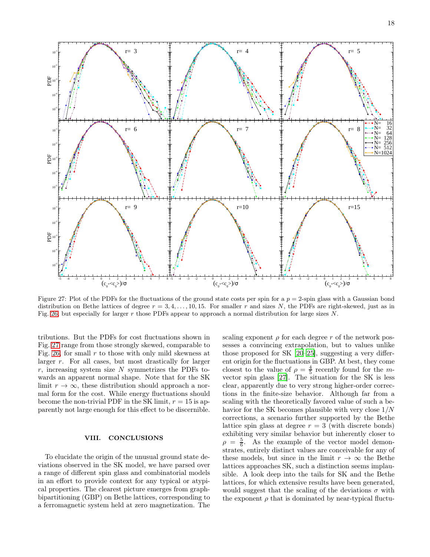

<span id="page-17-1"></span>Figure 27: Plot of the PDFs for the fluctuations of the ground state costs per spin for a  $p = 2$ -spin glass with a Gaussian bond distribution on Bethe lattices of degree  $r = 3, 4, \ldots, 10, 15$ . For smaller r and sizes N, the PDFs are right-skewed, just as in Fig. [26,](#page-16-1) but especially for larger r those PDFs appear to approach a normal distribution for large sizes  $N$ .

tributions. But the PDFs for cost fluctuations shown in Fig. [27](#page-17-1) range from those strongly skewed, comparable to Fig. [26,](#page-16-1) for small  $r$  to those with only mild skewness at larger r. For all cases, but most drastically for larger  $r$ , increasing system size  $N$  symmetrizes the PDFs towards an apparent normal shape. Note that for the SK limit  $r \to \infty$ , these distribution should approach a normal form for the cost. While energy fluctuations should become the non-trivial PDF in the SK limit,  $r = 15$  is apparently not large enough for this effect to be discernible.

## <span id="page-17-0"></span>VIII. CONCLUSIONS

To elucidate the origin of the unusual ground state deviations observed in the SK model, we have parsed over a range of different spin glass and combinatorial models in an effort to provide context for any typical or atypical properties. The clearest picture emerges from graphbipartitioning (GBP) on Bethe lattices, corresponding to a ferromagnetic system held at zero magnetization. The

scaling exponent  $\rho$  for each degree r of the network possesses a convincing extrapolation, but to values unlike those proposed for SK [\[20](#page-18-18)[–25\]](#page-18-19), suggesting a very different origin for the fluctuations in GBP. At best, they come closest to the value of  $\rho = \frac{4}{5}$  recently found for the *m*vector spin glass [\[27\]](#page-18-21). The situation for the SK is less clear, apparently due to very strong higher-order corrections in the finite-size behavior. Although far from a scaling with the theoretically favored value of such a behavior for the SK becomes plausible with very close 1/N corrections, a scenario further supported by the Bethe lattice spin glass at degree  $r = 3$  (with discrete bonds) exhibiting very similar behavior but inherently closer to  $\rho = \frac{5}{6}$ . As the example of the vector model demonstrates, entirely distinct values are conceivable for any of these models, but since in the limit  $r \to \infty$  the Bethe lattices approaches SK, such a distinction seems implausible. A look deep into the tails for SK and the Bethe lattices, for which extensive results have been generated, would suggest that the scaling of the deviations  $\sigma$  with the exponent  $\rho$  that is dominated by near-typical fluctu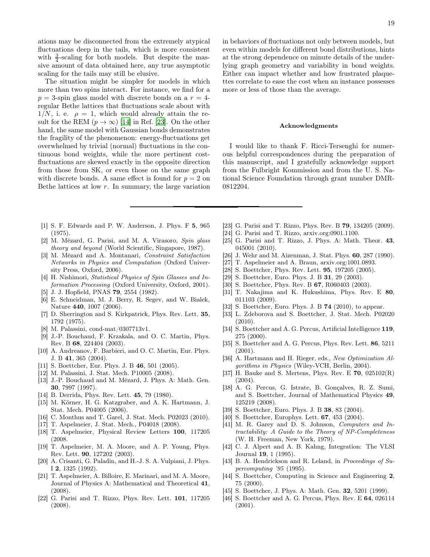ations may be disconnected from the extremely atypical fluctuations deep in the tails, which is more consistent with  $\frac{3}{4}$ -scaling for both models. But despite the massive amount of data obtained here, any true asymptotic scaling for the tails may still be elusive.

The situation might be simpler for models in which more than two spins interact. For instance, we find for a  $p = 3$ -spin glass model with discrete bonds on a  $r = 4$ regular Bethe lattices that fluctuations scale about with  $1/N$ , i. e.  $\rho = 1$ , which would already attain the result for the REM  $(p \to \infty)$  [\[14](#page-18-10)] in Ref. [\[23\]](#page-18-23). On the other hand, the same model with Gaussian bonds demonstrates the fragility of the phenomenon: energy-fluctuations get overwhelmed by trivial (normal) fluctuations in the continuous bond weights, while the more pertinent costfluctuations are skewed exactly in the opposite direction from those from SK, or even those on the same graph with discrete bonds. A same effect is found for  $p = 2$  on Bethe lattices at low  $r$ . In summary, the large variation in behaviors of fluctuations not only between models, but even within models for different bond distributions, hints at the strong dependence on minute details of the underlying graph geometry and variability in bond weights. Either can impact whether and how frustrated plaquettes correlate to ease the cost when an instance possesses more or less of those than the average.

#### Acknowledgments

I would like to thank F. Ricci-Tersenghi for numerous helpful correspondences during the preparation of this manuscript, and I gratefully acknowledge support from the Fulbright Kommission and from the U. S. National Science Foundation through grant number DMR-0812204.

- <span id="page-18-0"></span>[1] S. F. Edwards and P. W. Anderson, J. Phys. F 5, 965 (1975).
- <span id="page-18-1"></span>[2] M. Mézard, G. Parisi, and M. A. Virasoro, Spin glass theory and beyond (World Scientific, Singapore, 1987).
- <span id="page-18-2"></span>[3] M. Mézard and A. Montanari, Constraint Satisfaction Networks in Physics and Computation (Oxford University Press, Oxford, 2006).
- <span id="page-18-3"></span>[4] H. Nishimori, Statistical Physics of Spin Glasses and Information Processing (Oxford University, Oxford, 2001).
- <span id="page-18-4"></span>[5] J. J. Hopfield, PNAS 79, 2554 (1982).
- <span id="page-18-5"></span>[6] E. Schneidman, M. J. Berry, R. Segev, and W. Bialek, Nature 440, 1007 (2006).
- <span id="page-18-6"></span>[7] D. Sherrington and S. Kirkpatrick, Phys. Rev. Lett. 35, 1792 (1975).
- <span id="page-18-7"></span>[8] M. Palassini, cond-mat/0307713v1.
- <span id="page-18-14"></span>[9] J.-P. Bouchaud, F. Krzakala, and O. C. Martin, Phys. Rev. B 68, 224404 (2003).
- [10] A. Andreanov, F. Barbieri, and O. C. Martin, Eur. Phys. J. B 41, 365 (2004).
- <span id="page-18-11"></span>[11] S. Boettcher, Eur. Phys. J. B 46, 501 (2005).
- <span id="page-18-8"></span>[12] M. Palassini, J. Stat. Mech. P10005 (2008).
- <span id="page-18-9"></span>[13] J.-P. Bouchaud and M. Mézard, J. Phys. A: Math. Gen. 30, 7997 (1997).
- <span id="page-18-10"></span>[14] B. Derrida, Phys. Rev. Lett. 45, 79 (1980).
- <span id="page-18-12"></span>[15] M. Körner, H. G. Katzgraber, and A. K. Hartmann, J. Stat. Mech. P04005 (2006).
- <span id="page-18-13"></span>[16] C. Monthus and T. Garel, J. Stat. Mech. P02023 (2010).
- <span id="page-18-15"></span>[17] T. Aspelmeier, J. Stat. Mech., P04018 (2008).
- <span id="page-18-16"></span>[18] T. Aspelmeier, Physical Review Letters 100, 117205 (2008.
- <span id="page-18-17"></span>[19] T. Aspelmeier, M. A. Moore, and A. P. Young, Phys. Rev. Lett. 90, 127202 (2003).
- <span id="page-18-18"></span>[20] A. Crisanti, G. Paladin, and H.-J. S. A. Vulpiani, J. Phys. I 2, 1325 (1992).
- <span id="page-18-22"></span>[21] T. Aspelmeier, A. Billoire, E. Marinari, and M. A. Moore, Journal of Physics A: Mathematical and Theoretical 41, (2008).
- <span id="page-18-43"></span>[22] G. Parisi and T. Rizzo, Phys. Rev. Lett. 101, 117205 (2008).
- <span id="page-18-23"></span>[23] G. Parisi and T. Rizzo, Phys. Rev. B **79**, 134205 (2009).
- <span id="page-18-44"></span>[24] G. Parisi and T. Rizzo, arxiv.org:0901.1100.
- <span id="page-18-19"></span>[25] G. Parisi and T. Rizzo, J. Phys. A: Math. Theor. 43, 045001 (2010).
- <span id="page-18-20"></span>[26] J. Wehr and M. Aizenman, J. Stat. Phys. 60, 287 (1990).
- <span id="page-18-21"></span>[27] T. Aspelmeier and A. Braun, arxiv.org:1001.0893.
- <span id="page-18-24"></span>[28] S. Boettcher, Phys. Rev. Lett. 95, 197205 (2005).
- <span id="page-18-25"></span>[29] S. Boettcher, Euro. Phys. J. B **31**, 29 (2003).
- <span id="page-18-26"></span>[30] S. Boettcher, Phys. Rev. B 67, R060403 (2003).
- <span id="page-18-27"></span>[31] T. Nakajima and K. Hukushima, Phys. Rev. E 80, 011103 (2009).
- <span id="page-18-28"></span>[32] S. Boettcher, Euro. Phys. J. B **74** (2010), to appear.
- <span id="page-18-29"></span>[33] L. Zdeborova and S. Boettcher, J. Stat. Mech. P02020 (2010).
- <span id="page-18-30"></span>[34] S. Boettcher and A. G. Percus, Artificial Intelligence 119, 275 (2000).
- <span id="page-18-34"></span>[35] S. Boettcher and A. G. Percus, Phys. Rev. Lett. 86, 5211 (2001).
- <span id="page-18-31"></span>[36] A. Hartmann and H. Rieger, eds., New Optimization Algorithms in Physics (Wiley-VCH, Berlin, 2004).
- <span id="page-18-32"></span>[37] H. Bauke and S. Mertens, Phys. Rev. E 70, 025102(R)  $(2004).$
- <span id="page-18-33"></span>[38] A. G. Percus, G. Istrate, B. Gonçalves, R. Z. Sumi, and S. Boettcher, Journal of Mathematical Physics 49, 125219 (2008).
- <span id="page-18-35"></span>[39] S. Boettcher, Euro. Phys. J. B 38, 83 (2004).
- <span id="page-18-36"></span>[40] S. Boettcher, Europhys. Lett. **67**, 453 (2004).
- <span id="page-18-37"></span>[41] M. R. Garey and D. S. Johnson, *Computers and In*tractability: A Guide to the Theory of NP-Completeness (W. H. Freeman, New York, 1979).
- <span id="page-18-38"></span>[42] C. J. Alpert and A. B. Kahng, Integration: The VLSI Journal 19, 1 (1995).
- <span id="page-18-39"></span>[43] B. A. Hendrickson and R. Leland, in *Proceedings of Su*percomputing '95 (1995).
- <span id="page-18-40"></span>[44] S. Boettcher, Computing in Science and Engineering 2, 75 (2000).
- <span id="page-18-41"></span>[45] S. Boettcher, J. Phys. A: Math. Gen. **32**, 5201 (1999).
- <span id="page-18-42"></span>[46] S. Boettcher and A. G. Percus, Phys. Rev. E 64, 026114 (2001).